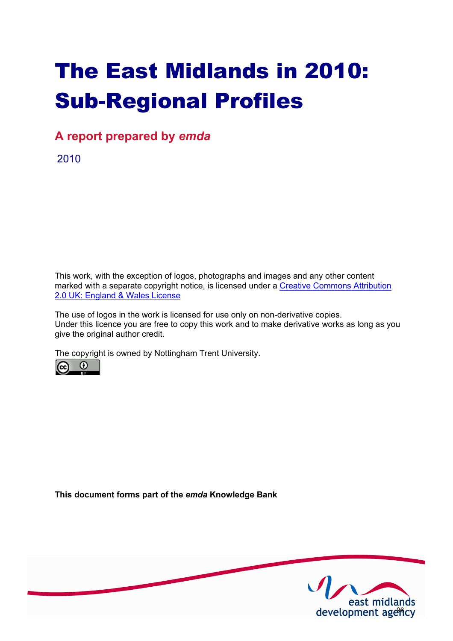# The East Midlands in 2010: Sub-Regional Profiles

**A report prepared by** *emda*

2010

This work, with the exception of logos, photographs and images and any other content [marked with a separate copyright notice, is licensed under a Creative Commons Attribution](http://creativecommons.org/licenses/by/2.0/uk) 2.0 UK: England & Wales License

The use of logos in the work is licensed for use only on non-derivative copies. Under this licence you are free to copy this work and to make derivative works as long as you give the original author credit.

The copyright is owned by Nottingham Trent University.



**This document forms part of the** *emda* **Knowledge Bank** 

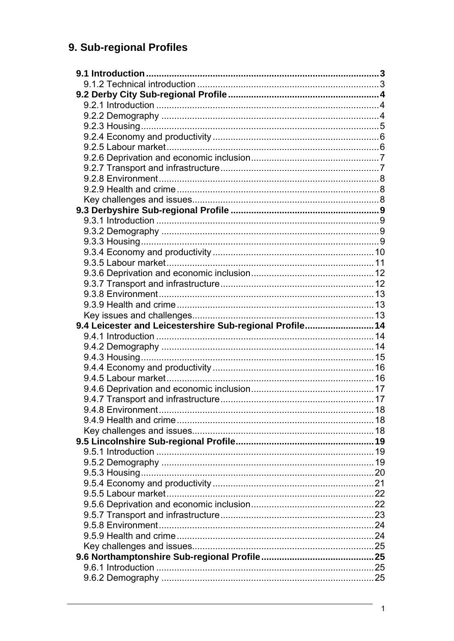# 9. Sub-regional Profiles

| 9.4 Leicester and Leicestershire Sub-regional Profile 14 |  |
|----------------------------------------------------------|--|
|                                                          |  |
|                                                          |  |
|                                                          |  |
|                                                          |  |
|                                                          |  |
|                                                          |  |
|                                                          |  |
|                                                          |  |
|                                                          |  |
|                                                          |  |
|                                                          |  |
|                                                          |  |
|                                                          |  |
|                                                          |  |
|                                                          |  |
|                                                          |  |
|                                                          |  |
|                                                          |  |
|                                                          |  |
|                                                          |  |
|                                                          |  |
|                                                          |  |
|                                                          |  |
|                                                          |  |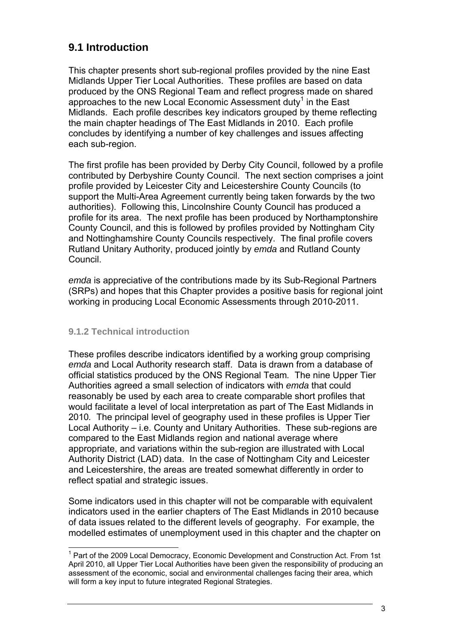# **9.1 Introduction**

This chapter presents short sub-regional profiles provided by the nine East Midlands Upper Tier Local Authorities. These profiles are based on data produced by the ONS Regional Team and reflect progress made on shared approaches to the new Local Economic Assessment duty<sup>1</sup> in the East Midlands. Each profile describes key indicators grouped by theme reflecting the main chapter headings of The East Midlands in 2010. Each profile concludes by identifying a number of key challenges and issues affecting each sub-region.

The first profile has been provided by Derby City Council, followed by a profile contributed by Derbyshire County Council. The next section comprises a joint profile provided by Leicester City and Leicestershire County Councils (to support the Multi-Area Agreement currently being taken forwards by the two authorities). Following this, Lincolnshire County Council has produced a profile for its area. The next profile has been produced by Northamptonshire County Council, and this is followed by profiles provided by Nottingham City and Nottinghamshire County Councils respectively. The final profile covers Rutland Unitary Authority, produced jointly by *emda* and Rutland County Council.

*emda* is appreciative of the contributions made by its Sub-Regional Partners (SRPs) and hopes that this Chapter provides a positive basis for regional joint working in producing Local Economic Assessments through 2010-2011.

# **9.1.2 Technical introduction**

These profiles describe indicators identified by a working group comprising *emda* and Local Authority research staff. Data is drawn from a database of official statistics produced by the ONS Regional Team*.* The nine Upper Tier Authorities agreed a small selection of indicators with *emda* that could reasonably be used by each area to create comparable short profiles that would facilitate a level of local interpretation as part of The East Midlands in 2010*.* The principal level of geography used in these profiles is Upper Tier Local Authority – i.e. County and Unitary Authorities. These sub-regions are compared to the East Midlands region and national average where appropriate, and variations within the sub-region are illustrated with Local Authority District (LAD) data. In the case of Nottingham City and Leicester and Leicestershire, the areas are treated somewhat differently in order to reflect spatial and strategic issues.

Some indicators used in this chapter will not be comparable with equivalent indicators used in the earlier chapters of The East Midlands in 2010 because of data issues related to the different levels of geography. For example, the modelled estimates of unemployment used in this chapter and the chapter on

<sup>&</sup>lt;sup>1</sup> Part of the 2009 Local Democracy, Economic Development and Construction Act. From 1st April 2010, all Upper Tier Local Authorities have been given the responsibility of producing an assessment of the economic, social and environmental challenges facing their area, which will form a key input to future integrated Regional Strategies.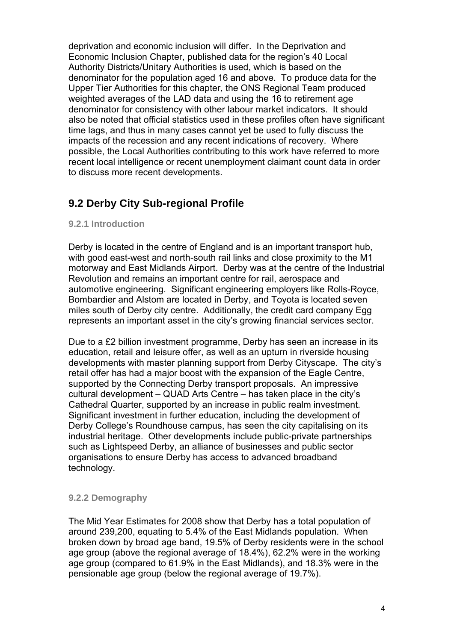deprivation and economic inclusion will differ. In the Deprivation and Economic Inclusion Chapter, published data for the region's 40 Local Authority Districts/Unitary Authorities is used, which is based on the denominator for the population aged 16 and above. To produce data for the Upper Tier Authorities for this chapter, the ONS Regional Team produced weighted averages of the LAD data and using the 16 to retirement age denominator for consistency with other labour market indicators. It should also be noted that official statistics used in these profiles often have significant time lags, and thus in many cases cannot yet be used to fully discuss the impacts of the recession and any recent indications of recovery. Where possible, the Local Authorities contributing to this work have referred to more recent local intelligence or recent unemployment claimant count data in order to discuss more recent developments.

# **9.2 Derby City Sub-regional Profile**

# **9.2.1 Introduction**

Derby is located in the centre of England and is an important transport hub, with good east-west and north-south rail links and close proximity to the M1 motorway and East Midlands Airport. Derby was at the centre of the Industrial Revolution and remains an important centre for rail, aerospace and automotive engineering. Significant engineering employers like Rolls-Royce, Bombardier and Alstom are located in Derby, and Toyota is located seven miles south of Derby city centre. Additionally, the credit card company Egg represents an important asset in the city's growing financial services sector.

Due to a £2 billion investment programme, Derby has seen an increase in its education, retail and leisure offer, as well as an upturn in riverside housing developments with master planning support from Derby Cityscape. The city's retail offer has had a major boost with the expansion of the Eagle Centre, supported by the Connecting Derby transport proposals. An impressive cultural development – QUAD Arts Centre – has taken place in the city's Cathedral Quarter, supported by an increase in public realm investment. Significant investment in further education, including the development of Derby College's Roundhouse campus, has seen the city capitalising on its industrial heritage. Other developments include public-private partnerships such as Lightspeed Derby, an alliance of businesses and public sector organisations to ensure Derby has access to advanced broadband technology.

# **9.2.2 Demography**

The Mid Year Estimates for 2008 show that Derby has a total population of around 239,200, equating to 5.4% of the East Midlands population. When broken down by broad age band, 19.5% of Derby residents were in the school age group (above the regional average of 18.4%), 62.2% were in the working age group (compared to 61.9% in the East Midlands), and 18.3% were in the pensionable age group (below the regional average of 19.7%).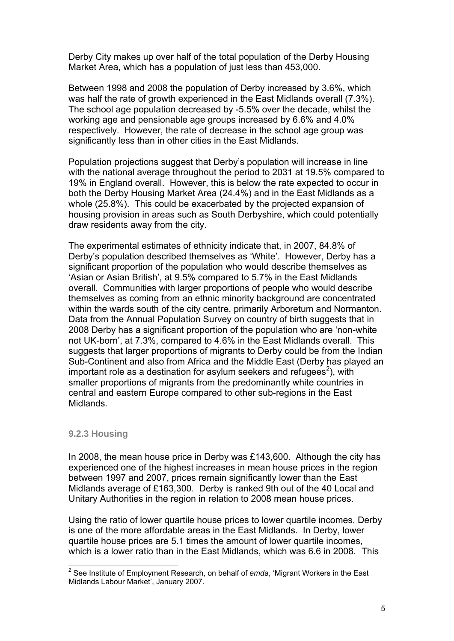Derby City makes up over half of the total population of the Derby Housing Market Area, which has a population of just less than 453,000.

Between 1998 and 2008 the population of Derby increased by 3.6%, which was half the rate of growth experienced in the East Midlands overall (7.3%). The school age population decreased by -5.5% over the decade, whilst the working age and pensionable age groups increased by 6.6% and 4.0% respectively. However, the rate of decrease in the school age group was significantly less than in other cities in the East Midlands.

Population projections suggest that Derby's population will increase in line with the national average throughout the period to 2031 at 19.5% compared to 19% in England overall. However, this is below the rate expected to occur in both the Derby Housing Market Area (24.4%) and in the East Midlands as a whole (25.8%). This could be exacerbated by the projected expansion of housing provision in areas such as South Derbyshire, which could potentially draw residents away from the city.

The experimental estimates of ethnicity indicate that, in 2007, 84.8% of Derby's population described themselves as 'White'. However, Derby has a significant proportion of the population who would describe themselves as 'Asian or Asian British', at 9.5% compared to 5.7% in the East Midlands overall. Communities with larger proportions of people who would describe themselves as coming from an ethnic minority background are concentrated within the wards south of the city centre, primarily Arboretum and Normanton. Data from the Annual Population Survey on country of birth suggests that in 2008 Derby has a significant proportion of the population who are 'non-white not UK-born', at 7.3%, compared to 4.6% in the East Midlands overall. This suggests that larger proportions of migrants to Derby could be from the Indian Sub-Continent and also from Africa and the Middle East (Derby has played an important role as a destination for asylum seekers and refugees<sup>2</sup>), with smaller proportions of migrants from the predominantly white countries in central and eastern Europe compared to other sub-regions in the East Midlands.

# **9.2.3 Housing**

In 2008, the mean house price in Derby was £143,600. Although the city has experienced one of the highest increases in mean house prices in the region between 1997 and 2007, prices remain significantly lower than the East Midlands average of £163,300. Derby is ranked 9th out of the 40 Local and Unitary Authorities in the region in relation to 2008 mean house prices.

Using the ratio of lower quartile house prices to lower quartile incomes, Derby is one of the more affordable areas in the East Midlands. In Derby, lower quartile house prices are 5.1 times the amount of lower quartile incomes, which is a lower ratio than in the East Midlands, which was 6.6 in 2008. This

<sup>2</sup> See Institute of Employment Research, on behalf of *emd*a, 'Migrant Workers in the East Midlands Labour Market', January 2007.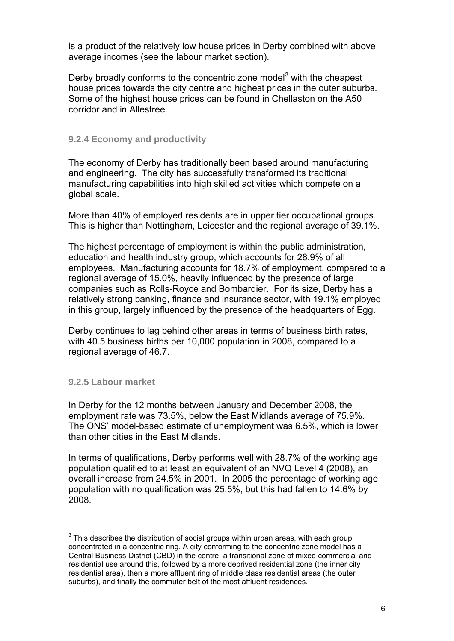is a product of the relatively low house prices in Derby combined with above average incomes (see the labour market section).

Derby broadly conforms to the concentric zone model<sup>3</sup> with the cheapest house prices towards the city centre and highest prices in the outer suburbs. Some of the highest house prices can be found in Chellaston on the A50 corridor and in Allestree.

# **9.2.4 Economy and productivity**

The economy of Derby has traditionally been based around manufacturing and engineering. The city has successfully transformed its traditional manufacturing capabilities into high skilled activities which compete on a global scale.

More than 40% of employed residents are in upper tier occupational groups. This is higher than Nottingham, Leicester and the regional average of 39.1%.

The highest percentage of employment is within the public administration, education and health industry group, which accounts for 28.9% of all employees. Manufacturing accounts for 18.7% of employment, compared to a regional average of 15.0%, heavily influenced by the presence of large companies such as Rolls-Royce and Bombardier. For its size, Derby has a relatively strong banking, finance and insurance sector, with 19.1% employed in this group, largely influenced by the presence of the headquarters of Egg.

Derby continues to lag behind other areas in terms of business birth rates, with 40.5 business births per 10,000 population in 2008, compared to a regional average of 46.7.

# **9.2.5 Labour market**

In Derby for the 12 months between January and December 2008, the employment rate was 73.5%, below the East Midlands average of 75.9%. The ONS' model-based estimate of unemployment was 6.5%, which is lower than other cities in the East Midlands.

In terms of qualifications, Derby performs well with 28.7% of the working age population qualified to at least an equivalent of an NVQ Level 4 (2008), an overall increase from 24.5% in 2001. In 2005 the percentage of working age population with no qualification was 25.5%, but this had fallen to 14.6% by 2008.

 $3$  This describes the distribution of social groups within urban areas, with each group concentrated in a concentric ring. A city conforming to the concentric zone model has a Central Business District (CBD) in the centre, a transitional zone of mixed commercial and residential use around this, followed by a more deprived residential zone (the inner city residential area), then a more affluent ring of middle class residential areas (the outer suburbs), and finally the commuter belt of the most affluent residences.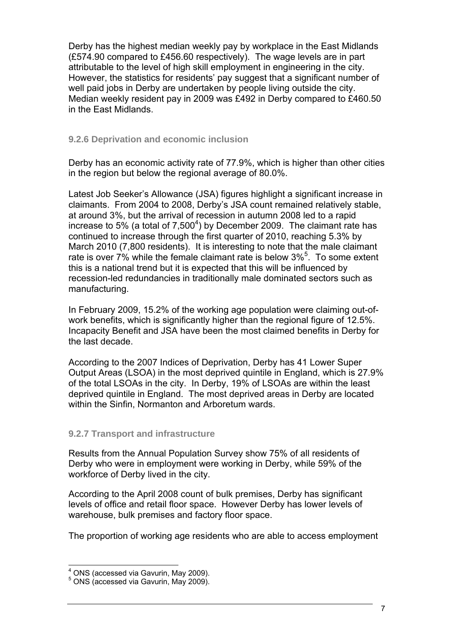Derby has the highest median weekly pay by workplace in the East Midlands (£574.90 compared to £456.60 respectively). The wage levels are in part attributable to the level of high skill employment in engineering in the city. However, the statistics for residents' pay suggest that a significant number of well paid jobs in Derby are undertaken by people living outside the city. Median weekly resident pay in 2009 was £492 in Derby compared to £460.50 in the East Midlands.

# **9.2.6 Deprivation and economic inclusion**

Derby has an economic activity rate of 77.9%, which is higher than other cities in the region but below the regional average of 80.0%.

Latest Job Seeker's Allowance (JSA) figures highlight a significant increase in claimants. From 2004 to 2008, Derby's JSA count remained relatively stable, at around 3%, but the arrival of recession in autumn 2008 led to a rapid increase to 5% (a total of 7,500<sup>4</sup>) by December 2009. The claimant rate has continued to increase through the first quarter of 2010, reaching 5.3% by March 2010 (7,800 residents). It is interesting to note that the male claimant rate is over 7% while the female claimant rate is below  $3\%^5$ . To some extent this is a national trend but it is expected that this will be influenced by recession-led redundancies in traditionally male dominated sectors such as manufacturing.

In February 2009, 15.2% of the working age population were claiming out-ofwork benefits, which is significantly higher than the regional figure of 12.5%. Incapacity Benefit and JSA have been the most claimed benefits in Derby for the last decade.

According to the 2007 Indices of Deprivation, Derby has 41 Lower Super Output Areas (LSOA) in the most deprived quintile in England, which is 27.9% of the total LSOAs in the city. In Derby, 19% of LSOAs are within the least deprived quintile in England. The most deprived areas in Derby are located within the Sinfin, Normanton and Arboretum wards.

# **9.2.7 Transport and infrastructure**

Results from the Annual Population Survey show 75% of all residents of Derby who were in employment were working in Derby, while 59% of the workforce of Derby lived in the city.

According to the April 2008 count of bulk premises, Derby has significant levels of office and retail floor space. However Derby has lower levels of warehouse, bulk premises and factory floor space.

The proportion of working age residents who are able to access employment

<sup>&</sup>lt;sup>4</sup> ONS (accessed via Gavurin, May 2009).<br>5 ONS (assessed via Cavurin, May 2000).

 $5$  ONS (accessed via Gavurin, May 2009).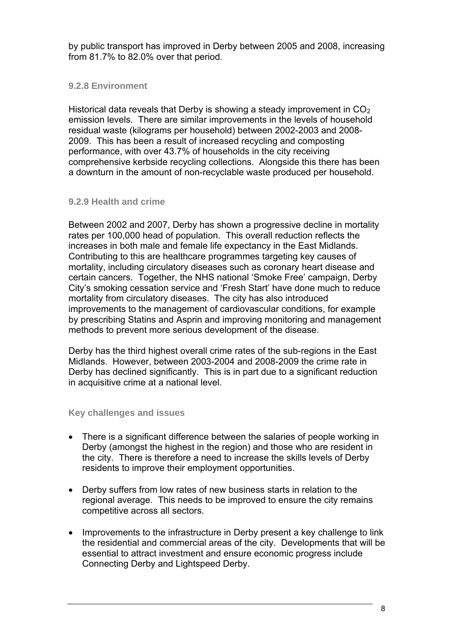by public transport has improved in Derby between 2005 and 2008, increasing from 81.7% to 82.0% over that period.

# **9.2.8 Environment**

Historical data reveals that Derby is showing a steady improvement in  $CO<sub>2</sub>$ emission levels. There are similar improvements in the levels of household residual waste (kilograms per household) between 2002-2003 and 2008- 2009. This has been a result of increased recycling and composting performance, with over 43.7% of households in the city receiving comprehensive kerbside recycling collections. Alongside this there has been a downturn in the amount of non-recyclable waste produced per household.

# **9.2.9 Health and crime**

Between 2002 and 2007, Derby has shown a progressive decline in mortality rates per 100,000 head of population. This overall reduction reflects the increases in both male and female life expectancy in the East Midlands. Contributing to this are healthcare programmes targeting key causes of mortality, including circulatory diseases such as coronary heart disease and certain cancers. Together, the NHS national 'Smoke Free' campaign, Derby City's smoking cessation service and 'Fresh Start' have done much to reduce mortality from circulatory diseases. The city has also introduced improvements to the management of cardiovascular conditions, for example by prescribing Statins and Asprin and improving monitoring and management methods to prevent more serious development of the disease.

Derby has the third highest overall crime rates of the sub-regions in the East Midlands. However, between 2003-2004 and 2008-2009 the crime rate in Derby has declined significantly. This is in part due to a significant reduction in acquisitive crime at a national level.

# **Key challenges and issues**

- There is a significant difference between the salaries of people working in Derby (amongst the highest in the region) and those who are resident in the city. There is therefore a need to increase the skills levels of Derby residents to improve their employment opportunities.
- Derby suffers from low rates of new business starts in relation to the regional average. This needs to be improved to ensure the city remains competitive across all sectors.
- Improvements to the infrastructure in Derby present a key challenge to link the residential and commercial areas of the city. Developments that will be essential to attract investment and ensure economic progress include Connecting Derby and Lightspeed Derby.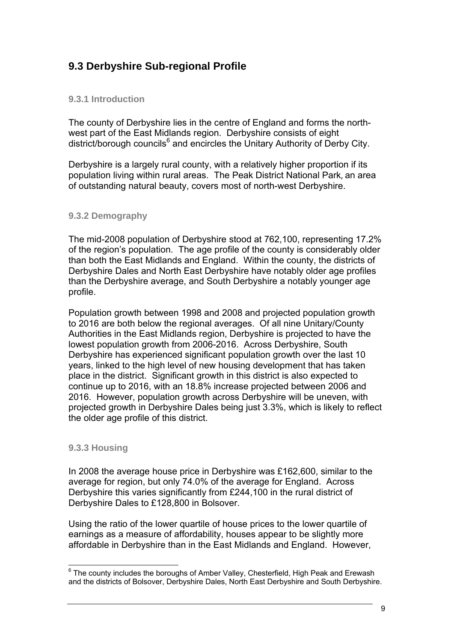# **9.3 Derbyshire Sub-regional Profile**

# **9.3.1 Introduction**

The county of Derbyshire lies in the centre of England and forms the northwest part of the East Midlands region. Derbyshire consists of eight district/borough councils<sup>6</sup> and encircles the Unitary Authority of Derby City.

Derbyshire is a largely rural county, with a relatively higher proportion if its population living within rural areas. The Peak District National Park, an area of outstanding natural beauty, covers most of north-west Derbyshire.

# **9.3.2 Demography**

The mid-2008 population of Derbyshire stood at 762,100, representing 17.2% of the region's population. The age profile of the county is considerably older than both the East Midlands and England. Within the county, the districts of Derbyshire Dales and North East Derbyshire have notably older age profiles than the Derbyshire average, and South Derbyshire a notably younger age profile.

Population growth between 1998 and 2008 and projected population growth to 2016 are both below the regional averages. Of all nine Unitary/County Authorities in the East Midlands region, Derbyshire is projected to have the lowest population growth from 2006-2016. Across Derbyshire, South Derbyshire has experienced significant population growth over the last 10 years, linked to the high level of new housing development that has taken place in the district. Significant growth in this district is also expected to continue up to 2016, with an 18.8% increase projected between 2006 and 2016. However, population growth across Derbyshire will be uneven, with projected growth in Derbyshire Dales being just 3.3%, which is likely to reflect the older age profile of this district.

# **9.3.3 Housing**

In 2008 the average house price in Derbyshire was £162,600, similar to the average for region, but only 74.0% of the average for England. Across Derbyshire this varies significantly from £244,100 in the rural district of Derbyshire Dales to £128,800 in Bolsover.

Using the ratio of the lower quartile of house prices to the lower quartile of earnings as a measure of affordability, houses appear to be slightly more affordable in Derbyshire than in the East Midlands and England. However,

 $6$  The county includes the boroughs of Amber Valley, Chesterfield, High Peak and Erewash and the districts of Bolsover, Derbyshire Dales, North East Derbyshire and South Derbyshire.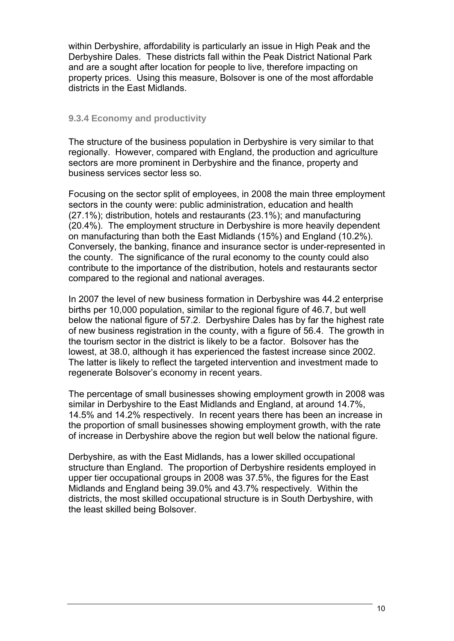within Derbyshire, affordability is particularly an issue in High Peak and the Derbyshire Dales. These districts fall within the Peak District National Park and are a sought after location for people to live, therefore impacting on property prices. Using this measure, Bolsover is one of the most affordable districts in the East Midlands.

#### **9.3.4 Economy and productivity**

The structure of the business population in Derbyshire is very similar to that regionally. However, compared with England, the production and agriculture sectors are more prominent in Derbyshire and the finance, property and business services sector less so.

Focusing on the sector split of employees, in 2008 the main three employment sectors in the county were: public administration, education and health (27.1%); distribution, hotels and restaurants (23.1%); and manufacturing (20.4%). The employment structure in Derbyshire is more heavily dependent on manufacturing than both the East Midlands (15%) and England (10.2%). Conversely, the banking, finance and insurance sector is under-represented in the county. The significance of the rural economy to the county could also contribute to the importance of the distribution, hotels and restaurants sector compared to the regional and national averages.

In 2007 the level of new business formation in Derbyshire was 44.2 enterprise births per 10,000 population, similar to the regional figure of 46.7, but well below the national figure of 57.2. Derbyshire Dales has by far the highest rate of new business registration in the county, with a figure of 56.4. The growth in the tourism sector in the district is likely to be a factor. Bolsover has the lowest, at 38.0, although it has experienced the fastest increase since 2002. The latter is likely to reflect the targeted intervention and investment made to regenerate Bolsover's economy in recent years.

The percentage of small businesses showing employment growth in 2008 was similar in Derbyshire to the East Midlands and England, at around 14.7%, 14.5% and 14.2% respectively. In recent years there has been an increase in the proportion of small businesses showing employment growth, with the rate of increase in Derbyshire above the region but well below the national figure.

Derbyshire, as with the East Midlands, has a lower skilled occupational structure than England. The proportion of Derbyshire residents employed in upper tier occupational groups in 2008 was 37.5%, the figures for the East Midlands and England being 39.0% and 43.7% respectively. Within the districts, the most skilled occupational structure is in South Derbyshire, with the least skilled being Bolsover.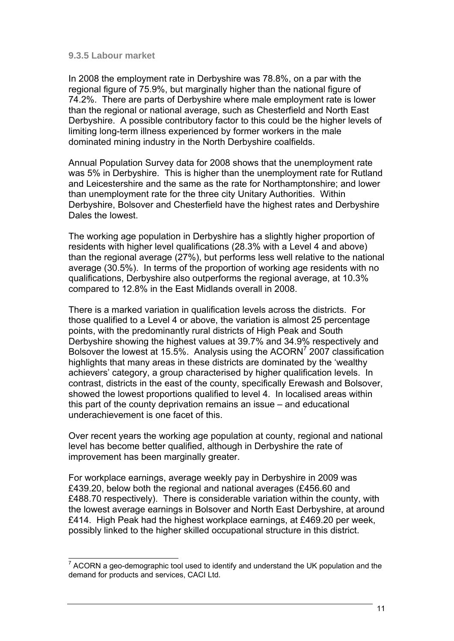#### **9.3.5 Labour market**

In 2008 the employment rate in Derbyshire was 78.8%, on a par with the regional figure of 75.9%, but marginally higher than the national figure of 74.2%. There are parts of Derbyshire where male employment rate is lower than the regional or national average, such as Chesterfield and North East Derbyshire. A possible contributory factor to this could be the higher levels of limiting long-term illness experienced by former workers in the male dominated mining industry in the North Derbyshire coalfields.

Annual Population Survey data for 2008 shows that the unemployment rate was 5% in Derbyshire. This is higher than the unemployment rate for Rutland and Leicestershire and the same as the rate for Northamptonshire; and lower than unemployment rate for the three city Unitary Authorities. Within Derbyshire, Bolsover and Chesterfield have the highest rates and Derbyshire Dales the lowest.

The working age population in Derbyshire has a slightly higher proportion of residents with higher level qualifications (28.3% with a Level 4 and above) than the regional average (27%), but performs less well relative to the national average (30.5%). In terms of the proportion of working age residents with no qualifications, Derbyshire also outperforms the regional average, at 10.3% compared to 12.8% in the East Midlands overall in 2008.

There is a marked variation in qualification levels across the districts. For those qualified to a Level 4 or above, the variation is almost 25 percentage points, with the predominantly rural districts of High Peak and South Derbyshire showing the highest values at 39.7% and 34.9% respectively and Bolsover the lowest at 15.5%. Analysis using the ACORN<sup>7</sup> 2007 classification highlights that many areas in these districts are dominated by the 'wealthy achievers' category, a group characterised by higher qualification levels. In contrast, districts in the east of the county, specifically Erewash and Bolsover, showed the lowest proportions qualified to level 4. In localised areas within this part of the county deprivation remains an issue – and educational underachievement is one facet of this.

Over recent years the working age population at county, regional and national level has become better qualified, although in Derbyshire the rate of improvement has been marginally greater.

For workplace earnings, average weekly pay in Derbyshire in 2009 was £439.20, below both the regional and national averages (£456.60 and £488.70 respectively). There is considerable variation within the county, with the lowest average earnings in Bolsover and North East Derbyshire, at around £414. High Peak had the highest workplace earnings, at £469.20 per week, possibly linked to the higher skilled occupational structure in this district.

 $7$  ACORN a geo-demographic tool used to identify and understand the UK population and the demand for products and services, CACI Ltd.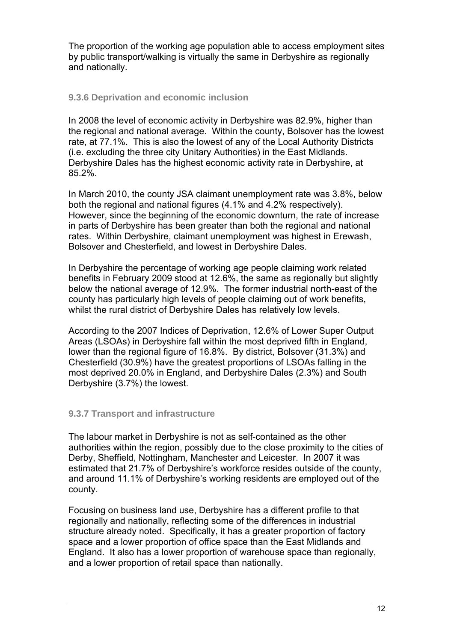The proportion of the working age population able to access employment sites by public transport/walking is virtually the same in Derbyshire as regionally and nationally.

# **9.3.6 Deprivation and economic inclusion**

In 2008 the level of economic activity in Derbyshire was 82.9%, higher than the regional and national average. Within the county, Bolsover has the lowest rate, at 77.1%. This is also the lowest of any of the Local Authority Districts (i.e. excluding the three city Unitary Authorities) in the East Midlands. Derbyshire Dales has the highest economic activity rate in Derbyshire, at 85.2%.

In March 2010, the county JSA claimant unemployment rate was 3.8%, below both the regional and national figures (4.1% and 4.2% respectively). However, since the beginning of the economic downturn, the rate of increase in parts of Derbyshire has been greater than both the regional and national rates. Within Derbyshire, claimant unemployment was highest in Erewash, Bolsover and Chesterfield, and lowest in Derbyshire Dales.

In Derbyshire the percentage of working age people claiming work related benefits in February 2009 stood at 12.6%, the same as regionally but slightly below the national average of 12.9%. The former industrial north-east of the county has particularly high levels of people claiming out of work benefits, whilst the rural district of Derbyshire Dales has relatively low levels.

According to the 2007 Indices of Deprivation, 12.6% of Lower Super Output Areas (LSOAs) in Derbyshire fall within the most deprived fifth in England, lower than the regional figure of 16.8%. By district, Bolsover (31.3%) and Chesterfield (30.9%) have the greatest proportions of LSOAs falling in the most deprived 20.0% in England, and Derbyshire Dales (2.3%) and South Derbyshire (3.7%) the lowest.

# **9.3.7 Transport and infrastructure**

The labour market in Derbyshire is not as self-contained as the other authorities within the region, possibly due to the close proximity to the cities of Derby, Sheffield, Nottingham, Manchester and Leicester. In 2007 it was estimated that 21.7% of Derbyshire's workforce resides outside of the county, and around 11.1% of Derbyshire's working residents are employed out of the county.

Focusing on business land use, Derbyshire has a different profile to that regionally and nationally, reflecting some of the differences in industrial structure already noted. Specifically, it has a greater proportion of factory space and a lower proportion of office space than the East Midlands and England. It also has a lower proportion of warehouse space than regionally, and a lower proportion of retail space than nationally.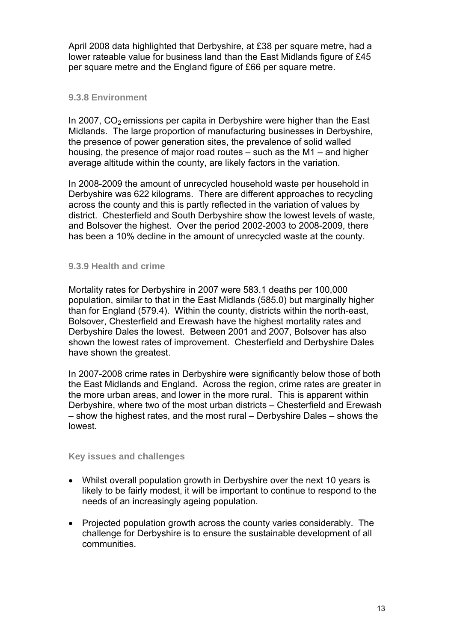April 2008 data highlighted that Derbyshire, at £38 per square metre, had a lower rateable value for business land than the East Midlands figure of £45 per square metre and the England figure of £66 per square metre.

# **9.3.8 Environment**

In 2007,  $CO<sub>2</sub>$  emissions per capita in Derbyshire were higher than the East Midlands. The large proportion of manufacturing businesses in Derbyshire, the presence of power generation sites, the prevalence of solid walled housing, the presence of major road routes – such as the M1 – and higher average altitude within the county, are likely factors in the variation.

In 2008-2009 the amount of unrecycled household waste per household in Derbyshire was 622 kilograms. There are different approaches to recycling across the county and this is partly reflected in the variation of values by district. Chesterfield and South Derbyshire show the lowest levels of waste, and Bolsover the highest. Over the period 2002-2003 to 2008-2009, there has been a 10% decline in the amount of unrecycled waste at the county.

# **9.3.9 Health and crime**

Mortality rates for Derbyshire in 2007 were 583.1 deaths per 100,000 population, similar to that in the East Midlands (585.0) but marginally higher than for England (579.4). Within the county, districts within the north-east, Bolsover, Chesterfield and Erewash have the highest mortality rates and Derbyshire Dales the lowest. Between 2001 and 2007, Bolsover has also shown the lowest rates of improvement. Chesterfield and Derbyshire Dales have shown the greatest.

In 2007-2008 crime rates in Derbyshire were significantly below those of both the East Midlands and England. Across the region, crime rates are greater in the more urban areas, and lower in the more rural. This is apparent within Derbyshire, where two of the most urban districts – Chesterfield and Erewash – show the highest rates, and the most rural – Derbyshire Dales – shows the lowest.

# **Key issues and challenges**

- Whilst overall population growth in Derbyshire over the next 10 years is likely to be fairly modest, it will be important to continue to respond to the needs of an increasingly ageing population.
- Projected population growth across the county varies considerably. The challenge for Derbyshire is to ensure the sustainable development of all communities.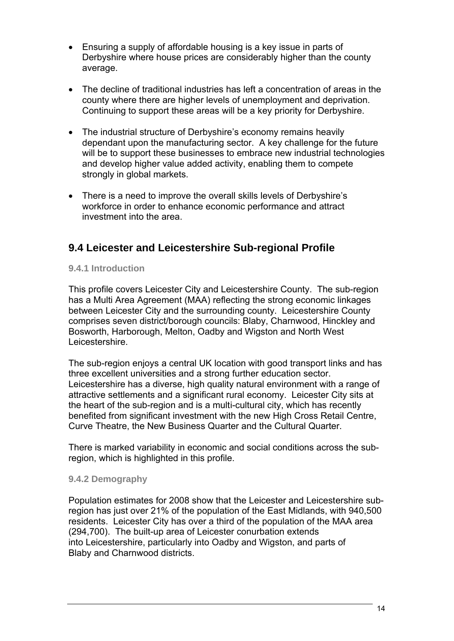- Ensuring a supply of affordable housing is a key issue in parts of Derbyshire where house prices are considerably higher than the county average.
- The decline of traditional industries has left a concentration of areas in the county where there are higher levels of unemployment and deprivation. Continuing to support these areas will be a key priority for Derbyshire.
- The industrial structure of Derbyshire's economy remains heavily dependant upon the manufacturing sector. A key challenge for the future will be to support these businesses to embrace new industrial technologies and develop higher value added activity, enabling them to compete strongly in global markets.
- There is a need to improve the overall skills levels of Derbyshire's workforce in order to enhance economic performance and attract investment into the area.

# **9.4 Leicester and Leicestershire Sub-regional Profile**

# **9.4.1 Introduction**

This profile covers Leicester City and Leicestershire County. The sub-region has a Multi Area Agreement (MAA) reflecting the strong economic linkages between Leicester City and the surrounding county. Leicestershire County comprises seven district/borough councils: Blaby, Charnwood, Hinckley and Bosworth, Harborough, Melton, Oadby and Wigston and North West Leicestershire.

The sub-region enjoys a central UK location with good transport links and has three excellent universities and a strong further education sector. Leicestershire has a diverse, high quality natural environment with a range of attractive settlements and a significant rural economy. Leicester City sits at the heart of the sub-region and is a multi-cultural city, which has recently benefited from significant investment with the new High Cross Retail Centre, Curve Theatre, the New Business Quarter and the Cultural Quarter.

There is marked variability in economic and social conditions across the subregion, which is highlighted in this profile.

# **9.4.2 Demography**

Population estimates for 2008 show that the Leicester and Leicestershire subregion has just over 21% of the population of the East Midlands, with 940,500 residents. Leicester City has over a third of the population of the MAA area (294,700). The built-up area of Leicester conurbation extends into Leicestershire, particularly into Oadby and Wigston, and parts of Blaby and Charnwood districts.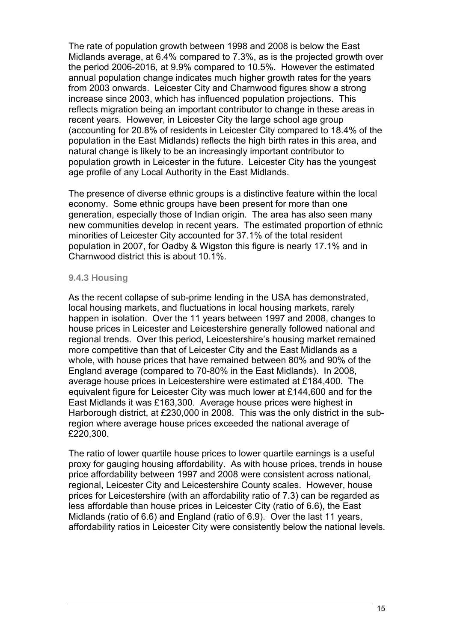The rate of population growth between 1998 and 2008 is below the East Midlands average, at 6.4% compared to 7.3%, as is the projected growth over the period 2006-2016, at 9.9% compared to 10.5%. However the estimated annual population change indicates much higher growth rates for the years from 2003 onwards. Leicester City and Charnwood figures show a strong increase since 2003, which has influenced population projections. This reflects migration being an important contributor to change in these areas in recent years. However, in Leicester City the large school age group (accounting for 20.8% of residents in Leicester City compared to 18.4% of the population in the East Midlands) reflects the high birth rates in this area, and natural change is likely to be an increasingly important contributor to population growth in Leicester in the future. Leicester City has the youngest age profile of any Local Authority in the East Midlands.

The presence of diverse ethnic groups is a distinctive feature within the local economy. Some ethnic groups have been present for more than one generation, especially those of Indian origin. The area has also seen many new communities develop in recent years. The estimated proportion of ethnic minorities of Leicester City accounted for 37.1% of the total resident population in 2007, for Oadby & Wigston this figure is nearly 17.1% and in Charnwood district this is about 10.1%.

#### **9.4.3 Housing**

As the recent collapse of sub-prime lending in the USA has demonstrated, local housing markets, and fluctuations in local housing markets, rarely happen in isolation. Over the 11 years between 1997 and 2008, changes to house prices in Leicester and Leicestershire generally followed national and regional trends. Over this period, Leicestershire's housing market remained more competitive than that of Leicester City and the East Midlands as a whole, with house prices that have remained between 80% and 90% of the England average (compared to 70-80% in the East Midlands). In 2008, average house prices in Leicestershire were estimated at £184,400. The equivalent figure for Leicester City was much lower at £144,600 and for the East Midlands it was £163,300. Average house prices were highest in Harborough district, at £230,000 in 2008. This was the only district in the subregion where average house prices exceeded the national average of £220,300.

The ratio of lower quartile house prices to lower quartile earnings is a useful proxy for gauging housing affordability. As with house prices, trends in house price affordability between 1997 and 2008 were consistent across national, regional, Leicester City and Leicestershire County scales. However, house prices for Leicestershire (with an affordability ratio of 7.3) can be regarded as less affordable than house prices in Leicester City (ratio of 6.6), the East Midlands (ratio of 6.6) and England (ratio of 6.9). Over the last 11 years, affordability ratios in Leicester City were consistently below the national levels.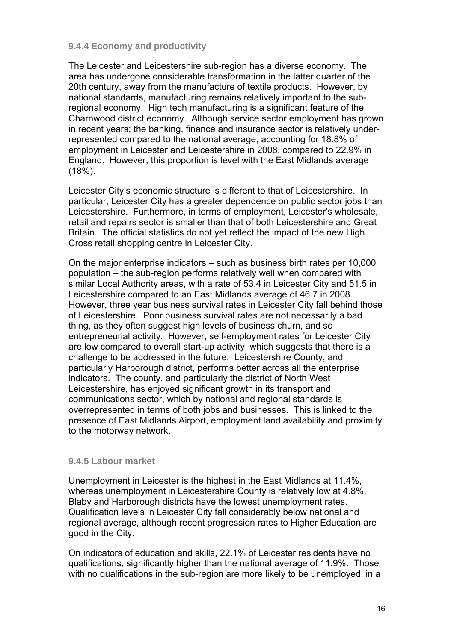# **9.4.4 Economy and productivity**

The Leicester and Leicestershire sub-region has a diverse economy. The area has undergone considerable transformation in the latter quarter of the 20th century, away from the manufacture of textile products. However, by national standards, manufacturing remains relatively important to the subregional economy. High tech manufacturing is a significant feature of the Charnwood district economy. Although service sector employment has grown in recent years; the banking, finance and insurance sector is relatively underrepresented compared to the national average, accounting for 18.8% of employment in Leicester and Leicestershire in 2008, compared to 22.9% in England. However, this proportion is level with the East Midlands average (18%).

Leicester City's economic structure is different to that of Leicestershire. In particular, Leicester City has a greater dependence on public sector jobs than Leicestershire. Furthermore, in terms of employment, Leicester's wholesale, retail and repairs sector is smaller than that of both Leicestershire and Great Britain. The official statistics do not yet reflect the impact of the new High Cross retail shopping centre in Leicester City.

On the major enterprise indicators – such as business birth rates per 10,000 population – the sub-region performs relatively well when compared with similar Local Authority areas, with a rate of 53.4 in Leicester City and 51.5 in Leicestershire compared to an East Midlands average of 46.7 in 2008. However, three year business survival rates in Leicester City fall behind those of Leicestershire. Poor business survival rates are not necessarily a bad thing, as they often suggest high levels of business churn, and so entrepreneurial activity. However, self-employment rates for Leicester City are low compared to overall start-up activity, which suggests that there is a challenge to be addressed in the future. Leicestershire County, and particularly Harborough district, performs better across all the enterprise indicators. The county, and particularly the district of North West Leicestershire, has enjoyed significant growth in its transport and communications sector, which by national and regional standards is overrepresented in terms of both jobs and businesses. This is linked to the presence of East Midlands Airport, employment land availability and proximity to the motorway network.

# **9.4.5 Labour market**

Unemployment in Leicester is the highest in the East Midlands at 11.4%, whereas unemployment in Leicestershire County is relatively low at 4.8%. Blaby and Harborough districts have the lowest unemployment rates. Qualification levels in Leicester City fall considerably below national and regional average, although recent progression rates to Higher Education are good in the City.

On indicators of education and skills, 22.1% of Leicester residents have no qualifications, significantly higher than the national average of 11.9%. Those with no qualifications in the sub-region are more likely to be unemployed, in a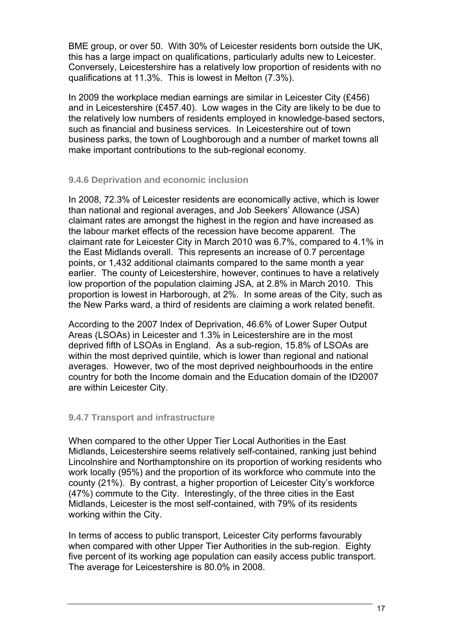BME group, or over 50. With 30% of Leicester residents born outside the UK, this has a large impact on qualifications, particularly adults new to Leicester. Conversely, Leicestershire has a relatively low proportion of residents with no qualifications at 11.3%. This is lowest in Melton (7.3%).

In 2009 the workplace median earnings are similar in Leicester City (£456) and in Leicestershire (£457.40). Low wages in the City are likely to be due to the relatively low numbers of residents employed in knowledge-based sectors, such as financial and business services. In Leicestershire out of town business parks, the town of Loughborough and a number of market towns all make important contributions to the sub-regional economy.

# **9.4.6 Deprivation and economic inclusion**

In 2008, 72.3% of Leicester residents are economically active, which is lower than national and regional averages, and Job Seekers' Allowance (JSA) claimant rates are amongst the highest in the region and have increased as the labour market effects of the recession have become apparent. The claimant rate for Leicester City in March 2010 was 6.7%, compared to 4.1% in the East Midlands overall. This represents an increase of 0.7 percentage points, or 1,432 additional claimants compared to the same month a year earlier. The county of Leicestershire, however, continues to have a relatively low proportion of the population claiming JSA, at 2.8% in March 2010. This proportion is lowest in Harborough, at 2%. In some areas of the City, such as the New Parks ward, a third of residents are claiming a work related benefit.

According to the 2007 Index of Deprivation, 46.6% of Lower Super Output Areas (LSOAs) in Leicester and 1.3% in Leicestershire are in the most deprived fifth of LSOAs in England. As a sub-region, 15.8% of LSOAs are within the most deprived quintile, which is lower than regional and national averages. However, two of the most deprived neighbourhoods in the entire country for both the Income domain and the Education domain of the ID2007 are within Leicester City.

# **9.4.7 Transport and infrastructure**

When compared to the other Upper Tier Local Authorities in the East Midlands, Leicestershire seems relatively self-contained, ranking just behind Lincolnshire and Northamptonshire on its proportion of working residents who work locally (95%) and the proportion of its workforce who commute into the county (21%). By contrast, a higher proportion of Leicester City's workforce (47%) commute to the City. Interestingly, of the three cities in the East Midlands, Leicester is the most self-contained, with 79% of its residents working within the City.

In terms of access to public transport, Leicester City performs favourably when compared with other Upper Tier Authorities in the sub-region. Eighty five percent of its working age population can easily access public transport. The average for Leicestershire is 80.0% in 2008.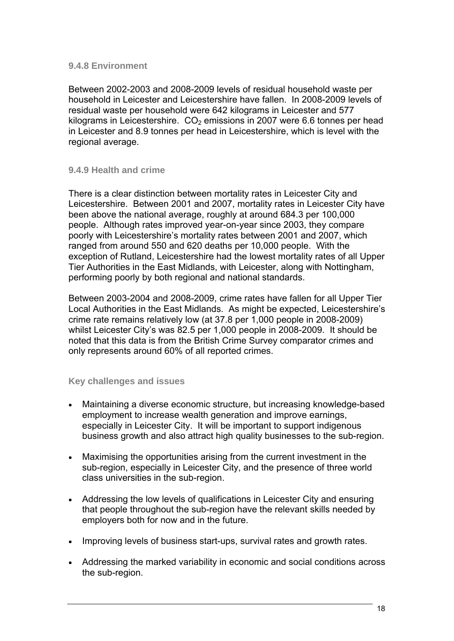# **9.4.8 Environment**

Between 2002-2003 and 2008-2009 levels of residual household waste per household in Leicester and Leicestershire have fallen. In 2008-2009 levels of residual waste per household were 642 kilograms in Leicester and 577 kilograms in Leicestershire.  $CO<sub>2</sub>$  emissions in 2007 were 6.6 tonnes per head in Leicester and 8.9 tonnes per head in Leicestershire, which is level with the regional average.

# **9.4.9 Health and crime**

There is a clear distinction between mortality rates in Leicester City and Leicestershire. Between 2001 and 2007, mortality rates in Leicester City have been above the national average, roughly at around 684.3 per 100,000 people. Although rates improved year-on-year since 2003, they compare poorly with Leicestershire's mortality rates between 2001 and 2007, which ranged from around 550 and 620 deaths per 10,000 people. With the exception of Rutland, Leicestershire had the lowest mortality rates of all Upper Tier Authorities in the East Midlands, with Leicester, along with Nottingham, performing poorly by both regional and national standards.

Between 2003-2004 and 2008-2009, crime rates have fallen for all Upper Tier Local Authorities in the East Midlands. As might be expected, Leicestershire's crime rate remains relatively low (at 37.8 per 1,000 people in 2008-2009) whilst Leicester City's was 82.5 per 1,000 people in 2008-2009. It should be noted that this data is from the British Crime Survey comparator crimes and only represents around 60% of all reported crimes.

# **Key challenges and issues**

- Maintaining a diverse economic structure, but increasing knowledge-based employment to increase wealth generation and improve earnings, especially in Leicester City. It will be important to support indigenous business growth and also attract high quality businesses to the sub-region.
- Maximising the opportunities arising from the current investment in the sub-region, especially in Leicester City, and the presence of three world class universities in the sub-region.
- Addressing the low levels of qualifications in Leicester City and ensuring that people throughout the sub-region have the relevant skills needed by employers both for now and in the future.
- Improving levels of business start-ups, survival rates and growth rates.
- Addressing the marked variability in economic and social conditions across the sub-region.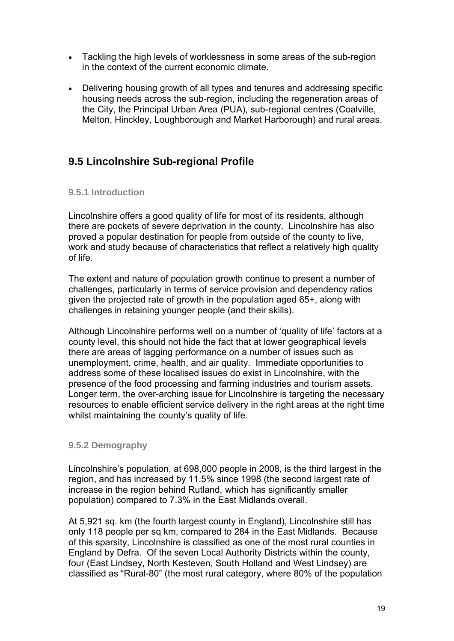- Tackling the high levels of worklessness in some areas of the sub-region in the context of the current economic climate.
- Delivering housing growth of all types and tenures and addressing specific housing needs across the sub-region, including the regeneration areas of the City, the Principal Urban Area (PUA), sub-regional centres (Coalville, Melton, Hinckley, Loughborough and Market Harborough) and rural areas.

# **9.5 Lincolnshire Sub-regional Profile**

# **9.5.1 Introduction**

Lincolnshire offers a good quality of life for most of its residents, although there are pockets of severe deprivation in the county. Lincolnshire has also proved a popular destination for people from outside of the county to live, work and study because of characteristics that reflect a relatively high quality of life.

The extent and nature of population growth continue to present a number of challenges, particularly in terms of service provision and dependency ratios given the projected rate of growth in the population aged 65+, along with challenges in retaining younger people (and their skills).

Although Lincolnshire performs well on a number of 'quality of life' factors at a county level, this should not hide the fact that at lower geographical levels there are areas of lagging performance on a number of issues such as unemployment, crime, health, and air quality. Immediate opportunities to address some of these localised issues do exist in Lincolnshire, with the presence of the food processing and farming industries and tourism assets. Longer term, the over-arching issue for Lincolnshire is targeting the necessary resources to enable efficient service delivery in the right areas at the right time whilst maintaining the county's quality of life.

# **9.5.2 Demography**

Lincolnshire's population, at 698,000 people in 2008, is the third largest in the region, and has increased by 11.5% since 1998 (the second largest rate of increase in the region behind Rutland, which has significantly smaller population) compared to 7.3% in the East Midlands overall.

At 5,921 sq. km (the fourth largest county in England), Lincolnshire still has only 118 people per sq km, compared to 284 in the East Midlands. Because of this sparsity, Lincolnshire is classified as one of the most rural counties in England by Defra. Of the seven Local Authority Districts within the county, four (East Lindsey, North Kesteven, South Holland and West Lindsey) are classified as "Rural-80" (the most rural category, where 80% of the population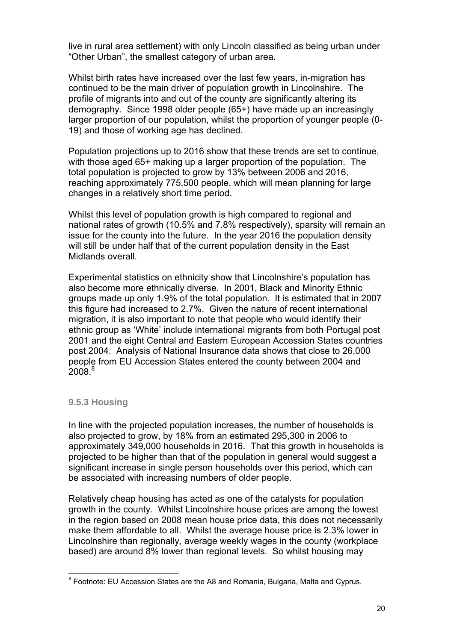live in rural area settlement) with only Lincoln classified as being urban under "Other Urban", the smallest category of urban area.

Whilst birth rates have increased over the last few years, in-migration has continued to be the main driver of population growth in Lincolnshire. The profile of migrants into and out of the county are significantly altering its demography. Since 1998 older people (65+) have made up an increasingly larger proportion of our population, whilst the proportion of younger people (0- 19) and those of working age has declined.

Population projections up to 2016 show that these trends are set to continue, with those aged 65+ making up a larger proportion of the population. The total population is projected to grow by 13% between 2006 and 2016, reaching approximately 775,500 people, which will mean planning for large changes in a relatively short time period.

Whilst this level of population growth is high compared to regional and national rates of growth (10.5% and 7.8% respectively), sparsity will remain an issue for the county into the future. In the year 2016 the population density will still be under half that of the current population density in the East Midlands overall.

Experimental statistics on ethnicity show that Lincolnshire's population has also become more ethnically diverse. In 2001, Black and Minority Ethnic groups made up only 1.9% of the total population. It is estimated that in 2007 this figure had increased to 2.7%. Given the nature of recent international migration, it is also important to note that people who would identify their ethnic group as 'White' include international migrants from both Portugal post 2001 and the eight Central and Eastern European Accession States countries post 2004. Analysis of National Insurance data shows that close to 26,000 people from EU Accession States entered the county between 2004 and  $2008<sup>8</sup>$ 

# **9.5.3 Housing**

In line with the projected population increases, the number of households is also projected to grow, by 18% from an estimated 295,300 in 2006 to approximately 349,000 households in 2016. That this growth in households is projected to be higher than that of the population in general would suggest a significant increase in single person households over this period, which can be associated with increasing numbers of older people.

Relatively cheap housing has acted as one of the catalysts for population growth in the county. Whilst Lincolnshire house prices are among the lowest in the region based on 2008 mean house price data, this does not necessarily make them affordable to all. Whilst the average house price is 2.3% lower in Lincolnshire than regionally, average weekly wages in the county (workplace based) are around 8% lower than regional levels. So whilst housing may

<sup>&</sup>lt;sup>8</sup> Footnote: EU Accession States are the A8 and Romania, Bulgaria, Malta and Cyprus.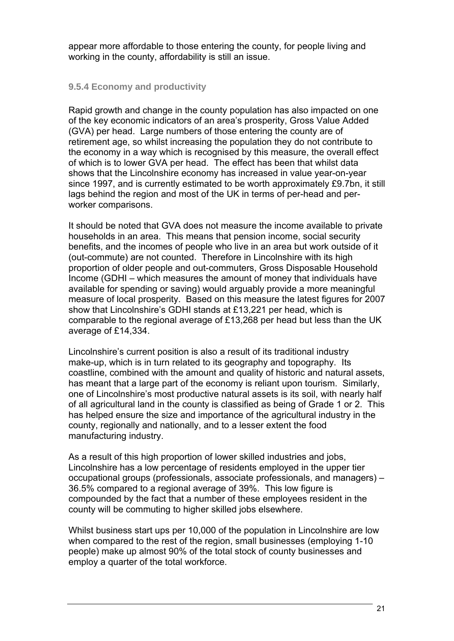appear more affordable to those entering the county, for people living and working in the county, affordability is still an issue.

# **9.5.4 Economy and productivity**

Rapid growth and change in the county population has also impacted on one of the key economic indicators of an area's prosperity, Gross Value Added (GVA) per head. Large numbers of those entering the county are of retirement age, so whilst increasing the population they do not contribute to the economy in a way which is recognised by this measure, the overall effect of which is to lower GVA per head. The effect has been that whilst data shows that the Lincolnshire economy has increased in value year-on-year since 1997, and is currently estimated to be worth approximately £9.7bn, it still lags behind the region and most of the UK in terms of per-head and perworker comparisons.

It should be noted that GVA does not measure the income available to private households in an area. This means that pension income, social security benefits, and the incomes of people who live in an area but work outside of it (out-commute) are not counted. Therefore in Lincolnshire with its high proportion of older people and out-commuters, Gross Disposable Household Income (GDHI – which measures the amount of money that individuals have available for spending or saving) would arguably provide a more meaningful measure of local prosperity. Based on this measure the latest figures for 2007 show that Lincolnshire's GDHI stands at £13,221 per head, which is comparable to the regional average of £13,268 per head but less than the UK average of £14,334.

Lincolnshire's current position is also a result of its traditional industry make-up, which is in turn related to its geography and topography. Its coastline, combined with the amount and quality of historic and natural assets, has meant that a large part of the economy is reliant upon tourism. Similarly, one of Lincolnshire's most productive natural assets is its soil, with nearly half of all agricultural land in the county is classified as being of Grade 1 or 2. This has helped ensure the size and importance of the agricultural industry in the county, regionally and nationally, and to a lesser extent the food manufacturing industry.

As a result of this high proportion of lower skilled industries and jobs, Lincolnshire has a low percentage of residents employed in the upper tier occupational groups (professionals, associate professionals, and managers) – 36.5% compared to a regional average of 39%. This low figure is compounded by the fact that a number of these employees resident in the county will be commuting to higher skilled jobs elsewhere.

Whilst business start ups per 10,000 of the population in Lincolnshire are low when compared to the rest of the region, small businesses (employing 1-10 people) make up almost 90% of the total stock of county businesses and employ a quarter of the total workforce.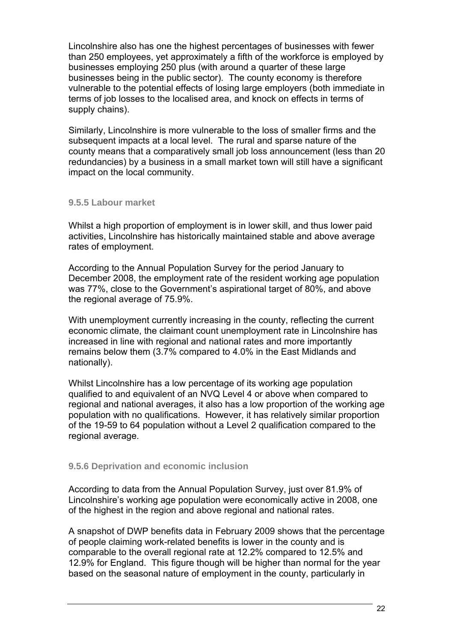Lincolnshire also has one the highest percentages of businesses with fewer than 250 employees, yet approximately a fifth of the workforce is employed by businesses employing 250 plus (with around a quarter of these large businesses being in the public sector). The county economy is therefore vulnerable to the potential effects of losing large employers (both immediate in terms of job losses to the localised area, and knock on effects in terms of supply chains).

Similarly, Lincolnshire is more vulnerable to the loss of smaller firms and the subsequent impacts at a local level. The rural and sparse nature of the county means that a comparatively small job loss announcement (less than 20 redundancies) by a business in a small market town will still have a significant impact on the local community.

# **9.5.5 Labour market**

Whilst a high proportion of employment is in lower skill, and thus lower paid activities, Lincolnshire has historically maintained stable and above average rates of employment.

According to the Annual Population Survey for the period January to December 2008, the employment rate of the resident working age population was 77%, close to the Government's aspirational target of 80%, and above the regional average of 75.9%.

With unemployment currently increasing in the county, reflecting the current economic climate, the claimant count unemployment rate in Lincolnshire has increased in line with regional and national rates and more importantly remains below them (3.7% compared to 4.0% in the East Midlands and nationally).

Whilst Lincolnshire has a low percentage of its working age population qualified to and equivalent of an NVQ Level 4 or above when compared to regional and national averages, it also has a low proportion of the working age population with no qualifications. However, it has relatively similar proportion of the 19-59 to 64 population without a Level 2 qualification compared to the regional average.

# **9.5.6 Deprivation and economic inclusion**

According to data from the Annual Population Survey, just over 81.9% of Lincolnshire's working age population were economically active in 2008, one of the highest in the region and above regional and national rates.

A snapshot of DWP benefits data in February 2009 shows that the percentage of people claiming work-related benefits is lower in the county and is comparable to the overall regional rate at 12.2% compared to 12.5% and 12.9% for England. This figure though will be higher than normal for the year based on the seasonal nature of employment in the county, particularly in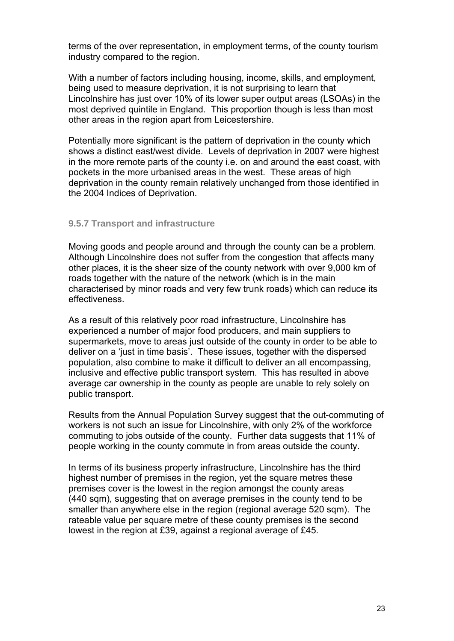terms of the over representation, in employment terms, of the county tourism industry compared to the region.

With a number of factors including housing, income, skills, and employment, being used to measure deprivation, it is not surprising to learn that Lincolnshire has just over 10% of its lower super output areas (LSOAs) in the most deprived quintile in England. This proportion though is less than most other areas in the region apart from Leicestershire.

Potentially more significant is the pattern of deprivation in the county which shows a distinct east/west divide. Levels of deprivation in 2007 were highest in the more remote parts of the county i.e. on and around the east coast, with pockets in the more urbanised areas in the west. These areas of high deprivation in the county remain relatively unchanged from those identified in the 2004 Indices of Deprivation.

# **9.5.7 Transport and infrastructure**

Moving goods and people around and through the county can be a problem. Although Lincolnshire does not suffer from the congestion that affects many other places, it is the sheer size of the county network with over 9,000 km of roads together with the nature of the network (which is in the main characterised by minor roads and very few trunk roads) which can reduce its effectiveness.

As a result of this relatively poor road infrastructure, Lincolnshire has experienced a number of major food producers, and main suppliers to supermarkets, move to areas just outside of the county in order to be able to deliver on a 'just in time basis'. These issues, together with the dispersed population, also combine to make it difficult to deliver an all encompassing, inclusive and effective public transport system. This has resulted in above average car ownership in the county as people are unable to rely solely on public transport.

Results from the Annual Population Survey suggest that the out-commuting of workers is not such an issue for Lincolnshire, with only 2% of the workforce commuting to jobs outside of the county. Further data suggests that 11% of people working in the county commute in from areas outside the county.

In terms of its business property infrastructure, Lincolnshire has the third highest number of premises in the region, yet the square metres these premises cover is the lowest in the region amongst the county areas (440 sqm), suggesting that on average premises in the county tend to be smaller than anywhere else in the region (regional average 520 sqm). The rateable value per square metre of these county premises is the second lowest in the region at £39, against a regional average of £45.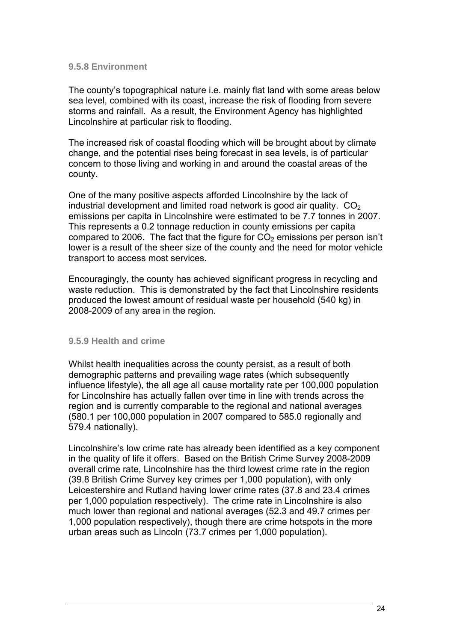#### **9.5.8 Environment**

The county's topographical nature i.e. mainly flat land with some areas below sea level, combined with its coast, increase the risk of flooding from severe storms and rainfall. As a result, the Environment Agency has highlighted Lincolnshire at particular risk to flooding.

The increased risk of coastal flooding which will be brought about by climate change, and the potential rises being forecast in sea levels, is of particular concern to those living and working in and around the coastal areas of the county.

One of the many positive aspects afforded Lincolnshire by the lack of industrial development and limited road network is good air quality.  $CO<sub>2</sub>$ emissions per capita in Lincolnshire were estimated to be 7.7 tonnes in 2007. This represents a 0.2 tonnage reduction in county emissions per capita compared to 2006. The fact that the figure for  $CO<sub>2</sub>$  emissions per person isn't lower is a result of the sheer size of the county and the need for motor vehicle transport to access most services.

Encouragingly, the county has achieved significant progress in recycling and waste reduction. This is demonstrated by the fact that Lincolnshire residents produced the lowest amount of residual waste per household (540 kg) in 2008-2009 of any area in the region.

# **9.5.9 Health and crime**

Whilst health inequalities across the county persist, as a result of both demographic patterns and prevailing wage rates (which subsequently influence lifestyle), the all age all cause mortality rate per 100,000 population for Lincolnshire has actually fallen over time in line with trends across the region and is currently comparable to the regional and national averages (580.1 per 100,000 population in 2007 compared to 585.0 regionally and 579.4 nationally).

Lincolnshire's low crime rate has already been identified as a key component in the quality of life it offers. Based on the British Crime Survey 2008-2009 overall crime rate, Lincolnshire has the third lowest crime rate in the region (39.8 British Crime Survey key crimes per 1,000 population), with only Leicestershire and Rutland having lower crime rates (37.8 and 23.4 crimes per 1,000 population respectively). The crime rate in Lincolnshire is also much lower than regional and national averages (52.3 and 49.7 crimes per 1,000 population respectively), though there are crime hotspots in the more urban areas such as Lincoln (73.7 crimes per 1,000 population).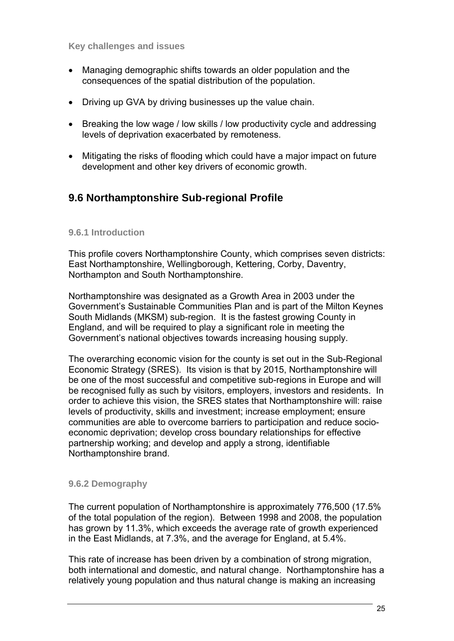**Key challenges and issues** 

- Managing demographic shifts towards an older population and the consequences of the spatial distribution of the population.
- Driving up GVA by driving businesses up the value chain.
- Breaking the low wage / low skills / low productivity cycle and addressing levels of deprivation exacerbated by remoteness.
- Mitigating the risks of flooding which could have a major impact on future development and other key drivers of economic growth.

# **9.6 Northamptonshire Sub-regional Profile**

# **9.6.1 Introduction**

This profile covers Northamptonshire County, which comprises seven districts: East Northamptonshire, Wellingborough, Kettering, Corby, Daventry, Northampton and South Northamptonshire.

Northamptonshire was designated as a Growth Area in 2003 under the Government's Sustainable Communities Plan and is part of the Milton Keynes South Midlands (MKSM) sub-region. It is the fastest growing County in England, and will be required to play a significant role in meeting the Government's national objectives towards increasing housing supply.

The overarching economic vision for the county is set out in the Sub-Regional Economic Strategy (SRES). Its vision is that by 2015, Northamptonshire will be one of the most successful and competitive sub-regions in Europe and will be recognised fully as such by visitors, employers, investors and residents. In order to achieve this vision, the SRES states that Northamptonshire will: raise levels of productivity, skills and investment; increase employment; ensure communities are able to overcome barriers to participation and reduce socioeconomic deprivation; develop cross boundary relationships for effective partnership working; and develop and apply a strong, identifiable Northamptonshire brand.

# **9.6.2 Demography**

The current population of Northamptonshire is approximately 776,500 (17.5% of the total population of the region). Between 1998 and 2008, the population has grown by 11.3%, which exceeds the average rate of growth experienced in the East Midlands, at 7.3%, and the average for England, at 5.4%.

This rate of increase has been driven by a combination of strong migration, both international and domestic, and natural change. Northamptonshire has a relatively young population and thus natural change is making an increasing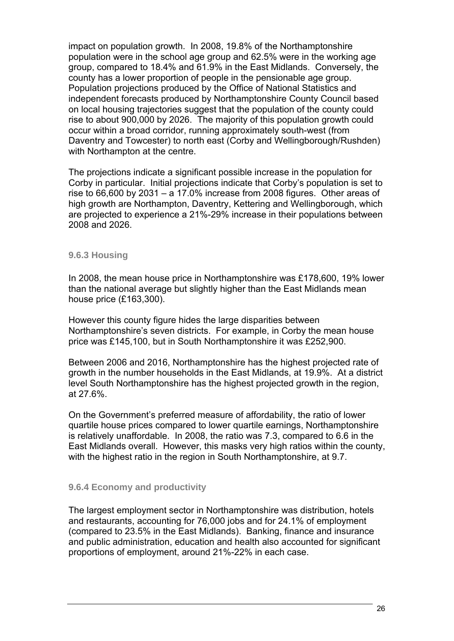impact on population growth. In 2008, 19.8% of the Northamptonshire population were in the school age group and 62.5% were in the working age group, compared to 18.4% and 61.9% in the East Midlands. Conversely, the county has a lower proportion of people in the pensionable age group. Population projections produced by the Office of National Statistics and independent forecasts produced by Northamptonshire County Council based on local housing trajectories suggest that the population of the county could rise to about 900,000 by 2026. The majority of this population growth could occur within a broad corridor, running approximately south-west (from Daventry and Towcester) to north east (Corby and Wellingborough/Rushden) with Northampton at the centre.

The projections indicate a significant possible increase in the population for Corby in particular. Initial projections indicate that Corby's population is set to rise to 66,600 by 2031 – a 17.0% increase from 2008 figures. Other areas of high growth are Northampton, Daventry, Kettering and Wellingborough, which are projected to experience a 21%-29% increase in their populations between 2008 and 2026.

#### **9.6.3 Housing**

In 2008, the mean house price in Northamptonshire was £178,600, 19% lower than the national average but slightly higher than the East Midlands mean house price (£163,300).

However this county figure hides the large disparities between Northamptonshire's seven districts. For example, in Corby the mean house price was £145,100, but in South Northamptonshire it was £252,900.

Between 2006 and 2016, Northamptonshire has the highest projected rate of growth in the number households in the East Midlands, at 19.9%. At a district level South Northamptonshire has the highest projected growth in the region, at 27.6%.

On the Government's preferred measure of affordability, the ratio of lower quartile house prices compared to lower quartile earnings, Northamptonshire is relatively unaffordable. In 2008, the ratio was 7.3, compared to 6.6 in the East Midlands overall. However, this masks very high ratios within the county, with the highest ratio in the region in South Northamptonshire, at 9.7.

# **9.6.4 Economy and productivity**

The largest employment sector in Northamptonshire was distribution, hotels and restaurants, accounting for 76,000 jobs and for 24.1% of employment (compared to 23.5% in the East Midlands). Banking, finance and insurance and public administration, education and health also accounted for significant proportions of employment, around 21%-22% in each case.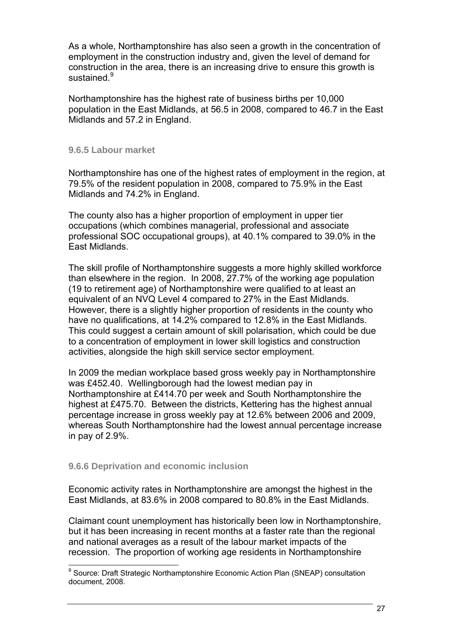As a whole, Northamptonshire has also seen a growth in the concentration of employment in the construction industry and, given the level of demand for construction in the area, there is an increasing drive to ensure this growth is sustained.<sup>9</sup>

Northamptonshire has the highest rate of business births per 10,000 population in the East Midlands, at 56.5 in 2008, compared to 46.7 in the East Midlands and 57.2 in England.

#### **9.6.5 Labour market**

Northamptonshire has one of the highest rates of employment in the region, at 79.5% of the resident population in 2008, compared to 75.9% in the East Midlands and 74.2% in England.

The county also has a higher proportion of employment in upper tier occupations (which combines managerial, professional and associate professional SOC occupational groups), at 40.1% compared to 39.0% in the East Midlands.

The skill profile of Northamptonshire suggests a more highly skilled workforce than elsewhere in the region. In 2008, 27.7% of the working age population (19 to retirement age) of Northamptonshire were qualified to at least an equivalent of an NVQ Level 4 compared to 27% in the East Midlands. However, there is a slightly higher proportion of residents in the county who have no qualifications, at 14.2% compared to 12.8% in the East Midlands. This could suggest a certain amount of skill polarisation, which could be due to a concentration of employment in lower skill logistics and construction activities, alongside the high skill service sector employment.

In 2009 the median workplace based gross weekly pay in Northamptonshire was £452.40. Wellingborough had the lowest median pay in Northamptonshire at £414.70 per week and South Northamptonshire the highest at £475.70. Between the districts, Kettering has the highest annual percentage increase in gross weekly pay at 12.6% between 2006 and 2009, whereas South Northamptonshire had the lowest annual percentage increase in pay of 2.9%.

# **9.6.6 Deprivation and economic inclusion**

Economic activity rates in Northamptonshire are amongst the highest in the East Midlands, at 83.6% in 2008 compared to 80.8% in the East Midlands.

Claimant count unemployment has historically been low in Northamptonshire, but it has been increasing in recent months at a faster rate than the regional and national averages as a result of the labour market impacts of the recession. The proportion of working age residents in Northamptonshire

<sup>&</sup>lt;sup>9</sup> Source: Draft Strategic Northamptonshire Economic Action Plan (SNEAP) consultation document, 2008.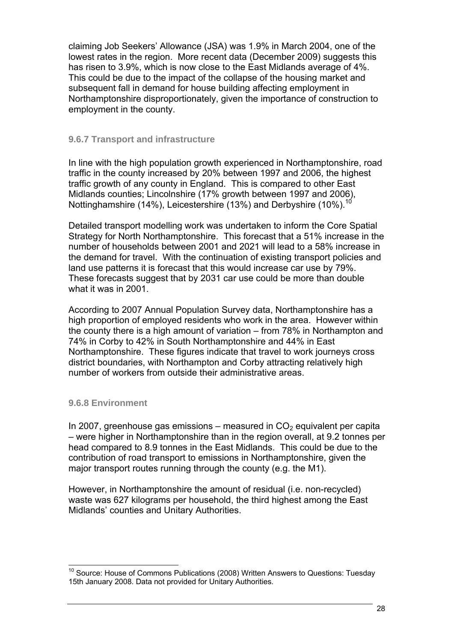claiming Job Seekers' Allowance (JSA) was 1.9% in March 2004, one of the lowest rates in the region. More recent data (December 2009) suggests this has risen to 3.9%, which is now close to the East Midlands average of 4%. This could be due to the impact of the collapse of the housing market and subsequent fall in demand for house building affecting employment in Northamptonshire disproportionately, given the importance of construction to employment in the county.

# **9.6.7 Transport and infrastructure**

In line with the high population growth experienced in Northamptonshire, road traffic in the county increased by 20% between 1997 and 2006, the highest traffic growth of any county in England. This is compared to other East Midlands counties; Lincolnshire (17% growth between 1997 and 2006), Nottinghamshire (14%), Leicestershire (13%) and Derbyshire (10%).<sup>10</sup>

Detailed transport modelling work was undertaken to inform the Core Spatial Strategy for North Northamptonshire. This forecast that a 51% increase in the number of households between 2001 and 2021 will lead to a 58% increase in the demand for travel. With the continuation of existing transport policies and land use patterns it is forecast that this would increase car use by 79%. These forecasts suggest that by 2031 car use could be more than double what it was in 2001.

According to 2007 Annual Population Survey data, Northamptonshire has a high proportion of employed residents who work in the area. However within the county there is a high amount of variation – from 78% in Northampton and 74% in Corby to 42% in South Northamptonshire and 44% in East Northamptonshire. These figures indicate that travel to work journeys cross district boundaries, with Northampton and Corby attracting relatively high number of workers from outside their administrative areas.

# **9.6.8 Environment**

In 2007, greenhouse gas emissions – measured in  $CO<sub>2</sub>$  equivalent per capita – were higher in Northamptonshire than in the region overall, at 9.2 tonnes per head compared to 8.9 tonnes in the East Midlands. This could be due to the contribution of road transport to emissions in Northamptonshire, given the major transport routes running through the county (e.g. the M1).

However, in Northamptonshire the amount of residual (i.e. non-recycled) waste was 627 kilograms per household, the third highest among the East Midlands' counties and Unitary Authorities.

 $10$  Source: House of Commons Publications (2008) Written Answers to Questions: Tuesday 15th January 2008. Data not provided for Unitary Authorities.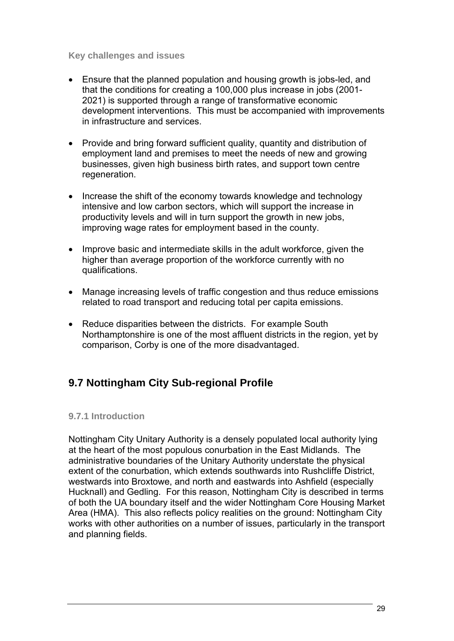# **Key challenges and issues**

- Ensure that the planned population and housing growth is jobs-led, and that the conditions for creating a 100,000 plus increase in jobs (2001- 2021) is supported through a range of transformative economic development interventions. This must be accompanied with improvements in infrastructure and services.
- Provide and bring forward sufficient quality, quantity and distribution of employment land and premises to meet the needs of new and growing businesses, given high business birth rates, and support town centre regeneration.
- Increase the shift of the economy towards knowledge and technology intensive and low carbon sectors, which will support the increase in productivity levels and will in turn support the growth in new jobs, improving wage rates for employment based in the county.
- Improve basic and intermediate skills in the adult workforce, given the higher than average proportion of the workforce currently with no qualifications.
- Manage increasing levels of traffic congestion and thus reduce emissions related to road transport and reducing total per capita emissions.
- Reduce disparities between the districts. For example South Northamptonshire is one of the most affluent districts in the region, yet by comparison, Corby is one of the more disadvantaged.

# **9.7 Nottingham City Sub-regional Profile**

# **9.7.1 Introduction**

Nottingham City Unitary Authority is a densely populated local authority lying at the heart of the most populous conurbation in the East Midlands. The administrative boundaries of the Unitary Authority understate the physical extent of the conurbation, which extends southwards into Rushcliffe District, westwards into Broxtowe, and north and eastwards into Ashfield (especially Hucknall) and Gedling. For this reason, Nottingham City is described in terms of both the UA boundary itself and the wider Nottingham Core Housing Market Area (HMA). This also reflects policy realities on the ground: Nottingham City works with other authorities on a number of issues, particularly in the transport and planning fields.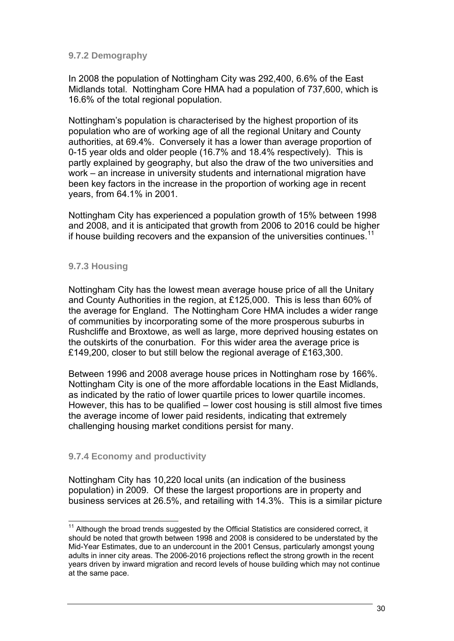# **9.7.2 Demography**

In 2008 the population of Nottingham City was 292,400, 6.6% of the East Midlands total. Nottingham Core HMA had a population of 737,600, which is 16.6% of the total regional population.

Nottingham's population is characterised by the highest proportion of its population who are of working age of all the regional Unitary and County authorities, at 69.4%. Conversely it has a lower than average proportion of 0-15 year olds and older people (16.7% and 18.4% respectively). This is partly explained by geography, but also the draw of the two universities and work – an increase in university students and international migration have been key factors in the increase in the proportion of working age in recent years, from 64.1% in 2001.

Nottingham City has experienced a population growth of 15% between 1998 and 2008, and it is anticipated that growth from 2006 to 2016 could be higher if house building recovers and the expansion of the universities continues.<sup>11</sup>

# **9.7.3 Housing**

Nottingham City has the lowest mean average house price of all the Unitary and County Authorities in the region, at £125,000. This is less than 60% of the average for England. The Nottingham Core HMA includes a wider range of communities by incorporating some of the more prosperous suburbs in Rushcliffe and Broxtowe, as well as large, more deprived housing estates on the outskirts of the conurbation. For this wider area the average price is £149,200, closer to but still below the regional average of £163,300.

Between 1996 and 2008 average house prices in Nottingham rose by 166%. Nottingham City is one of the more affordable locations in the East Midlands, as indicated by the ratio of lower quartile prices to lower quartile incomes. However, this has to be qualified – lower cost housing is still almost five times the average income of lower paid residents, indicating that extremely challenging housing market conditions persist for many.

# **9.7.4 Economy and productivity**

Nottingham City has 10,220 local units (an indication of the business population) in 2009. Of these the largest proportions are in property and business services at 26.5%, and retailing with 14.3%. This is a similar picture

 $11$  Although the broad trends suggested by the Official Statistics are considered correct, it should be noted that growth between 1998 and 2008 is considered to be understated by the Mid-Year Estimates, due to an undercount in the 2001 Census, particularly amongst young adults in inner city areas. The 2006-2016 projections reflect the strong growth in the recent years driven by inward migration and record levels of house building which may not continue at the same pace.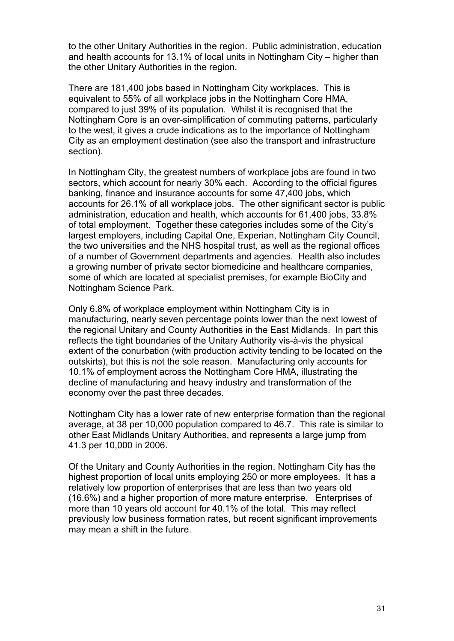to the other Unitary Authorities in the region. Public administration, education and health accounts for 13.1% of local units in Nottingham City – higher than the other Unitary Authorities in the region.

There are 181,400 jobs based in Nottingham City workplaces. This is equivalent to 55% of all workplace jobs in the Nottingham Core HMA, compared to just 39% of its population. Whilst it is recognised that the Nottingham Core is an over-simplification of commuting patterns, particularly to the west, it gives a crude indications as to the importance of Nottingham City as an employment destination (see also the transport and infrastructure section).

In Nottingham City, the greatest numbers of workplace jobs are found in two sectors, which account for nearly 30% each. According to the official figures banking, finance and insurance accounts for some 47,400 jobs, which accounts for 26.1% of all workplace jobs. The other significant sector is public administration, education and health, which accounts for 61,400 jobs, 33.8% of total employment. Together these categories includes some of the City's largest employers, including Capital One, Experian, Nottingham City Council, the two universities and the NHS hospital trust, as well as the regional offices of a number of Government departments and agencies. Health also includes a growing number of private sector biomedicine and healthcare companies, some of which are located at specialist premises, for example BioCity and Nottingham Science Park.

Only 6.8% of workplace employment within Nottingham City is in manufacturing, nearly seven percentage points lower than the next lowest of the regional Unitary and County Authorities in the East Midlands. In part this reflects the tight boundaries of the Unitary Authority vis-à-vis the physical extent of the conurbation (with production activity tending to be located on the outskirts), but this is not the sole reason. Manufacturing only accounts for 10.1% of employment across the Nottingham Core HMA, illustrating the decline of manufacturing and heavy industry and transformation of the economy over the past three decades.

Nottingham City has a lower rate of new enterprise formation than the regional average, at 38 per 10,000 population compared to 46.7. This rate is similar to other East Midlands Unitary Authorities, and represents a large jump from 41.3 per 10,000 in 2006.

Of the Unitary and County Authorities in the region, Nottingham City has the highest proportion of local units employing 250 or more employees. It has a relatively low proportion of enterprises that are less than two years old (16.6%) and a higher proportion of more mature enterprise. Enterprises of more than 10 years old account for 40.1% of the total. This may reflect previously low business formation rates, but recent significant improvements may mean a shift in the future.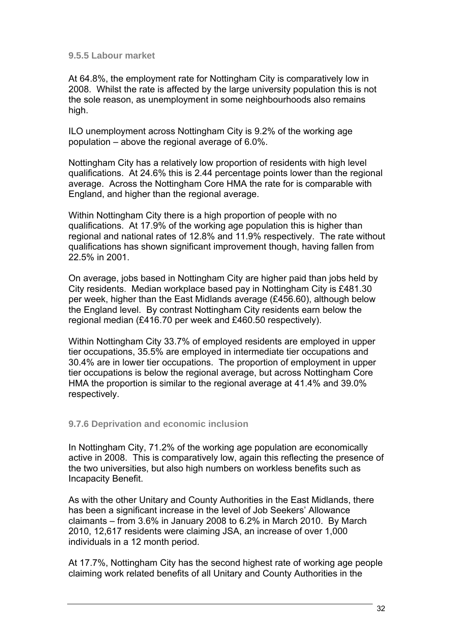#### **9.5.5 Labour market**

At 64.8%, the employment rate for Nottingham City is comparatively low in 2008. Whilst the rate is affected by the large university population this is not the sole reason, as unemployment in some neighbourhoods also remains high.

ILO unemployment across Nottingham City is 9.2% of the working age population – above the regional average of 6.0%.

Nottingham City has a relatively low proportion of residents with high level qualifications. At 24.6% this is 2.44 percentage points lower than the regional average. Across the Nottingham Core HMA the rate for is comparable with England, and higher than the regional average.

Within Nottingham City there is a high proportion of people with no qualifications. At 17.9% of the working age population this is higher than regional and national rates of 12.8% and 11.9% respectively. The rate without qualifications has shown significant improvement though, having fallen from 22.5% in 2001.

On average, jobs based in Nottingham City are higher paid than jobs held by City residents. Median workplace based pay in Nottingham City is £481.30 per week, higher than the East Midlands average (£456.60), although below the England level. By contrast Nottingham City residents earn below the regional median (£416.70 per week and £460.50 respectively).

Within Nottingham City 33.7% of employed residents are employed in upper tier occupations, 35.5% are employed in intermediate tier occupations and 30.4% are in lower tier occupations. The proportion of employment in upper tier occupations is below the regional average, but across Nottingham Core HMA the proportion is similar to the regional average at 41.4% and 39.0% respectively.

# **9.7.6 Deprivation and economic inclusion**

In Nottingham City, 71.2% of the working age population are economically active in 2008. This is comparatively low, again this reflecting the presence of the two universities, but also high numbers on workless benefits such as Incapacity Benefit.

As with the other Unitary and County Authorities in the East Midlands, there has been a significant increase in the level of Job Seekers' Allowance claimants – from 3.6% in January 2008 to 6.2% in March 2010. By March 2010, 12,617 residents were claiming JSA, an increase of over 1,000 individuals in a 12 month period.

At 17.7%, Nottingham City has the second highest rate of working age people claiming work related benefits of all Unitary and County Authorities in the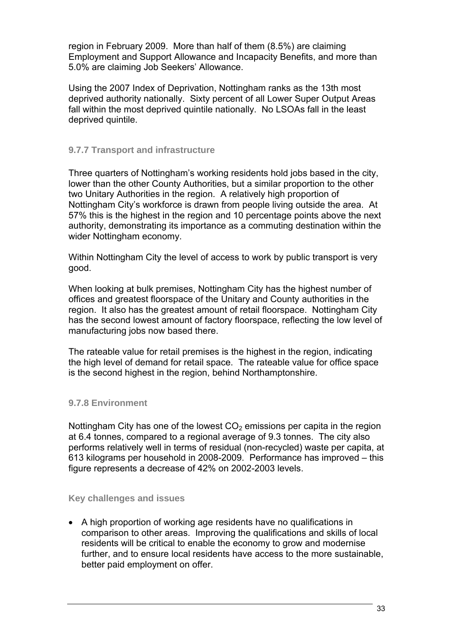region in February 2009. More than half of them (8.5%) are claiming Employment and Support Allowance and Incapacity Benefits, and more than 5.0% are claiming Job Seekers' Allowance.

Using the 2007 Index of Deprivation, Nottingham ranks as the 13th most deprived authority nationally. Sixty percent of all Lower Super Output Areas fall within the most deprived quintile nationally. No LSOAs fall in the least deprived quintile.

# **9.7.7 Transport and infrastructure**

Three quarters of Nottingham's working residents hold jobs based in the city, lower than the other County Authorities, but a similar proportion to the other two Unitary Authorities in the region. A relatively high proportion of Nottingham City's workforce is drawn from people living outside the area. At 57% this is the highest in the region and 10 percentage points above the next authority, demonstrating its importance as a commuting destination within the wider Nottingham economy.

Within Nottingham City the level of access to work by public transport is very good.

When looking at bulk premises, Nottingham City has the highest number of offices and greatest floorspace of the Unitary and County authorities in the region. It also has the greatest amount of retail floorspace. Nottingham City has the second lowest amount of factory floorspace, reflecting the low level of manufacturing jobs now based there.

The rateable value for retail premises is the highest in the region, indicating the high level of demand for retail space. The rateable value for office space is the second highest in the region, behind Northamptonshire.

# **9.7.8 Environment**

Nottingham City has one of the lowest  $CO<sub>2</sub>$  emissions per capita in the region at 6.4 tonnes, compared to a regional average of 9.3 tonnes. The city also performs relatively well in terms of residual (non-recycled) waste per capita, at 613 kilograms per household in 2008-2009. Performance has improved – this figure represents a decrease of 42% on 2002-2003 levels.

# **Key challenges and issues**

• A high proportion of working age residents have no qualifications in comparison to other areas. Improving the qualifications and skills of local residents will be critical to enable the economy to grow and modernise further, and to ensure local residents have access to the more sustainable, better paid employment on offer.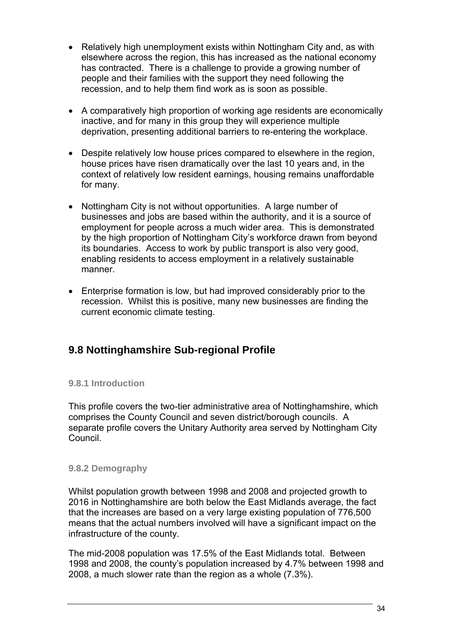- Relatively high unemployment exists within Nottingham City and, as with elsewhere across the region, this has increased as the national economy has contracted. There is a challenge to provide a growing number of people and their families with the support they need following the recession, and to help them find work as is soon as possible.
- A comparatively high proportion of working age residents are economically inactive, and for many in this group they will experience multiple deprivation, presenting additional barriers to re-entering the workplace.
- Despite relatively low house prices compared to elsewhere in the region, house prices have risen dramatically over the last 10 years and, in the context of relatively low resident earnings, housing remains unaffordable for many.
- Nottingham City is not without opportunities. A large number of businesses and jobs are based within the authority, and it is a source of employment for people across a much wider area. This is demonstrated by the high proportion of Nottingham City's workforce drawn from beyond its boundaries. Access to work by public transport is also very good, enabling residents to access employment in a relatively sustainable manner.
- Enterprise formation is low, but had improved considerably prior to the recession. Whilst this is positive, many new businesses are finding the current economic climate testing.

# **9.8 Nottinghamshire Sub-regional Profile**

# **9.8.1 Introduction**

This profile covers the two-tier administrative area of Nottinghamshire, which comprises the County Council and seven district/borough councils. A separate profile covers the Unitary Authority area served by Nottingham City Council.

# **9.8.2 Demography**

Whilst population growth between 1998 and 2008 and projected growth to 2016 in Nottinghamshire are both below the East Midlands average, the fact that the increases are based on a very large existing population of 776,500 means that the actual numbers involved will have a significant impact on the infrastructure of the county.

The mid-2008 population was 17.5% of the East Midlands total. Between 1998 and 2008, the county's population increased by 4.7% between 1998 and 2008, a much slower rate than the region as a whole (7.3%).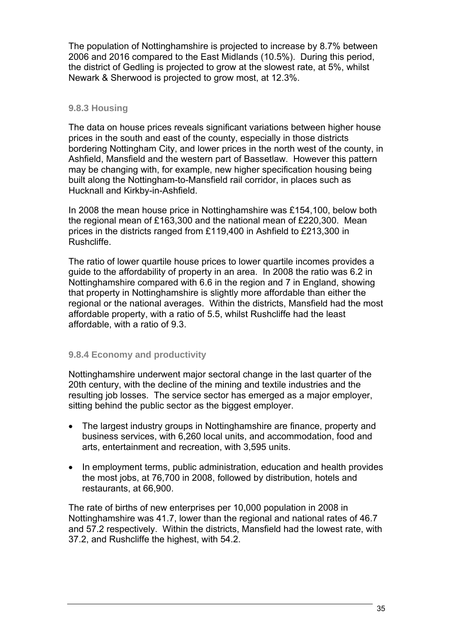The population of Nottinghamshire is projected to increase by 8.7% between 2006 and 2016 compared to the East Midlands (10.5%). During this period, the district of Gedling is projected to grow at the slowest rate, at 5%, whilst Newark & Sherwood is projected to grow most, at 12.3%.

# **9.8.3 Housing**

The data on house prices reveals significant variations between higher house prices in the south and east of the county, especially in those districts bordering Nottingham City, and lower prices in the north west of the county, in Ashfield, Mansfield and the western part of Bassetlaw. However this pattern may be changing with, for example, new higher specification housing being built along the Nottingham-to-Mansfield rail corridor, in places such as Hucknall and Kirkby-in-Ashfield.

In 2008 the mean house price in Nottinghamshire was £154,100, below both the regional mean of £163,300 and the national mean of £220,300. Mean prices in the districts ranged from £119,400 in Ashfield to £213,300 in Rushcliffe.

The ratio of lower quartile house prices to lower quartile incomes provides a guide to the affordability of property in an area. In 2008 the ratio was 6.2 in Nottinghamshire compared with 6.6 in the region and 7 in England, showing that property in Nottinghamshire is slightly more affordable than either the regional or the national averages. Within the districts, Mansfield had the most affordable property, with a ratio of 5.5, whilst Rushcliffe had the least affordable, with a ratio of 9.3.

# **9.8.4 Economy and productivity**

Nottinghamshire underwent major sectoral change in the last quarter of the 20th century, with the decline of the mining and textile industries and the resulting job losses. The service sector has emerged as a major employer, sitting behind the public sector as the biggest employer.

- The largest industry groups in Nottinghamshire are finance, property and business services, with 6,260 local units, and accommodation, food and arts, entertainment and recreation, with 3,595 units.
- In employment terms, public administration, education and health provides the most jobs, at 76,700 in 2008, followed by distribution, hotels and restaurants, at 66,900.

The rate of births of new enterprises per 10,000 population in 2008 in Nottinghamshire was 41.7, lower than the regional and national rates of 46.7 and 57.2 respectively. Within the districts, Mansfield had the lowest rate, with 37.2, and Rushcliffe the highest, with 54.2.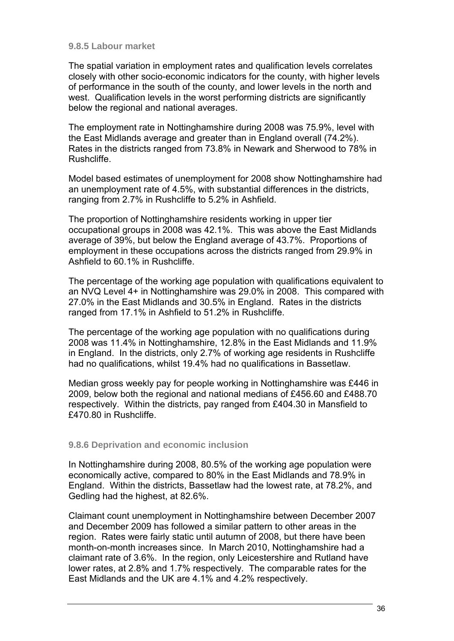#### **9.8.5 Labour market**

The spatial variation in employment rates and qualification levels correlates closely with other socio-economic indicators for the county, with higher levels of performance in the south of the county, and lower levels in the north and west. Qualification levels in the worst performing districts are significantly below the regional and national averages.

The employment rate in Nottinghamshire during 2008 was 75.9%, level with the East Midlands average and greater than in England overall (74.2%). Rates in the districts ranged from 73.8% in Newark and Sherwood to 78% in Rushcliffe.

Model based estimates of unemployment for 2008 show Nottinghamshire had an unemployment rate of 4.5%, with substantial differences in the districts, ranging from 2.7% in Rushcliffe to 5.2% in Ashfield.

The proportion of Nottinghamshire residents working in upper tier occupational groups in 2008 was 42.1%. This was above the East Midlands average of 39%, but below the England average of 43.7%. Proportions of employment in these occupations across the districts ranged from 29.9% in Ashfield to 60.1% in Rushcliffe.

The percentage of the working age population with qualifications equivalent to an NVQ Level 4+ in Nottinghamshire was 29.0% in 2008. This compared with 27.0% in the East Midlands and 30.5% in England. Rates in the districts ranged from 17.1% in Ashfield to 51.2% in Rushcliffe.

The percentage of the working age population with no qualifications during 2008 was 11.4% in Nottinghamshire, 12.8% in the East Midlands and 11.9% in England. In the districts, only 2.7% of working age residents in Rushcliffe had no qualifications, whilst 19.4% had no qualifications in Bassetlaw.

Median gross weekly pay for people working in Nottinghamshire was £446 in 2009, below both the regional and national medians of £456.60 and £488.70 respectively. Within the districts, pay ranged from £404.30 in Mansfield to £470.80 in Rushcliffe.

# **9.8.6 Deprivation and economic inclusion**

In Nottinghamshire during 2008, 80.5% of the working age population were economically active, compared to 80% in the East Midlands and 78.9% in England. Within the districts, Bassetlaw had the lowest rate, at 78.2%, and Gedling had the highest, at 82.6%.

Claimant count unemployment in Nottinghamshire between December 2007 and December 2009 has followed a similar pattern to other areas in the region. Rates were fairly static until autumn of 2008, but there have been month-on-month increases since. In March 2010, Nottinghamshire had a claimant rate of 3.6%. In the region, only Leicestershire and Rutland have lower rates, at 2.8% and 1.7% respectively. The comparable rates for the East Midlands and the UK are 4.1% and 4.2% respectively.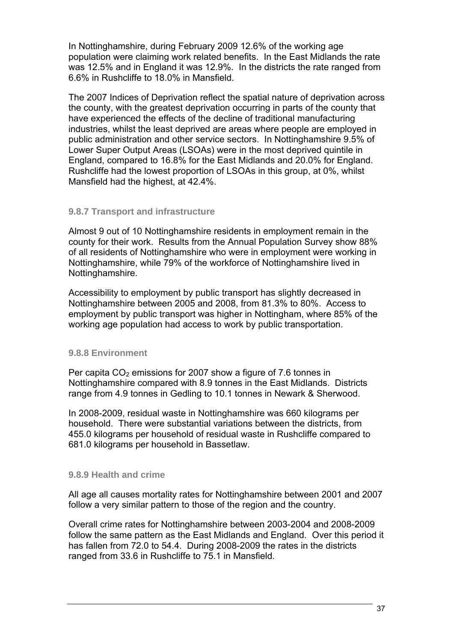In Nottinghamshire, during February 2009 12.6% of the working age population were claiming work related benefits. In the East Midlands the rate was 12.5% and in England it was 12.9%. In the districts the rate ranged from 6.6% in Rushcliffe to 18.0% in Mansfield.

The 2007 Indices of Deprivation reflect the spatial nature of deprivation across the county, with the greatest deprivation occurring in parts of the county that have experienced the effects of the decline of traditional manufacturing industries, whilst the least deprived are areas where people are employed in public administration and other service sectors. In Nottinghamshire 9.5% of Lower Super Output Areas (LSOAs) were in the most deprived quintile in England, compared to 16.8% for the East Midlands and 20.0% for England. Rushcliffe had the lowest proportion of LSOAs in this group, at 0%, whilst Mansfield had the highest, at 42.4%.

# **9.8.7 Transport and infrastructure**

Almost 9 out of 10 Nottinghamshire residents in employment remain in the county for their work. Results from the Annual Population Survey show 88% of all residents of Nottinghamshire who were in employment were working in Nottinghamshire, while 79% of the workforce of Nottinghamshire lived in Nottinghamshire.

Accessibility to employment by public transport has slightly decreased in Nottinghamshire between 2005 and 2008, from 81.3% to 80%. Access to employment by public transport was higher in Nottingham, where 85% of the working age population had access to work by public transportation.

# **9.8.8 Environment**

Per capita  $CO<sub>2</sub>$  emissions for 2007 show a figure of 7.6 tonnes in Nottinghamshire compared with 8.9 tonnes in the East Midlands. Districts range from 4.9 tonnes in Gedling to 10.1 tonnes in Newark & Sherwood.

In 2008-2009, residual waste in Nottinghamshire was 660 kilograms per household. There were substantial variations between the districts, from 455.0 kilograms per household of residual waste in Rushcliffe compared to 681.0 kilograms per household in Bassetlaw.

# **9.8.9 Health and crime**

All age all causes mortality rates for Nottinghamshire between 2001 and 2007 follow a very similar pattern to those of the region and the country.

Overall crime rates for Nottinghamshire between 2003-2004 and 2008-2009 follow the same pattern as the East Midlands and England. Over this period it has fallen from 72.0 to 54.4. During 2008-2009 the rates in the districts ranged from 33.6 in Rushcliffe to 75.1 in Mansfield.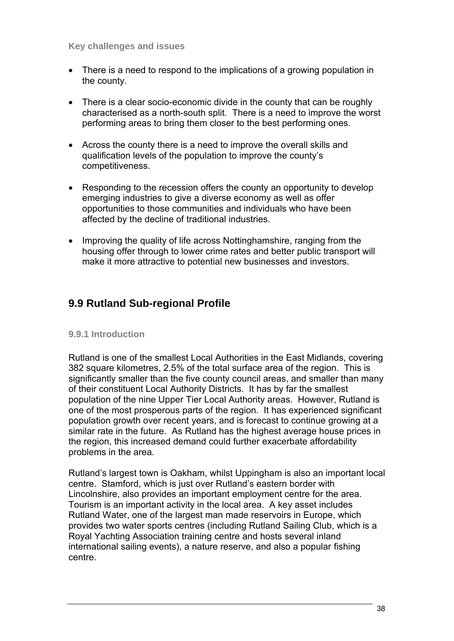#### **Key challenges and issues**

- There is a need to respond to the implications of a growing population in the county.
- There is a clear socio-economic divide in the county that can be roughly characterised as a north-south split. There is a need to improve the worst performing areas to bring them closer to the best performing ones.
- Across the county there is a need to improve the overall skills and qualification levels of the population to improve the county's competitiveness.
- Responding to the recession offers the county an opportunity to develop emerging industries to give a diverse economy as well as offer opportunities to those communities and individuals who have been affected by the decline of traditional industries.
- Improving the quality of life across Nottinghamshire, ranging from the housing offer through to lower crime rates and better public transport will make it more attractive to potential new businesses and investors.

# **9.9 Rutland Sub-regional Profile**

# **9.9.1 Introduction**

Rutland is one of the smallest Local Authorities in the East Midlands, covering 382 square kilometres, 2.5% of the total surface area of the region. This is significantly smaller than the five county council areas, and smaller than many of their constituent Local Authority Districts. It has by far the smallest population of the nine Upper Tier Local Authority areas. However, Rutland is one of the most prosperous parts of the region. It has experienced significant population growth over recent years, and is forecast to continue growing at a similar rate in the future. As Rutland has the highest average house prices in the region, this increased demand could further exacerbate affordability problems in the area.

Rutland's largest town is Oakham, whilst Uppingham is also an important local centre. Stamford, which is just over Rutland's eastern border with Lincolnshire, also provides an important employment centre for the area. Tourism is an important activity in the local area. A key asset includes Rutland Water, one of the largest man made reservoirs in Europe, which provides two water sports centres (including Rutland Sailing Club, which is a Royal Yachting Association training centre and hosts several inland international sailing events), a nature reserve, and also a popular fishing centre.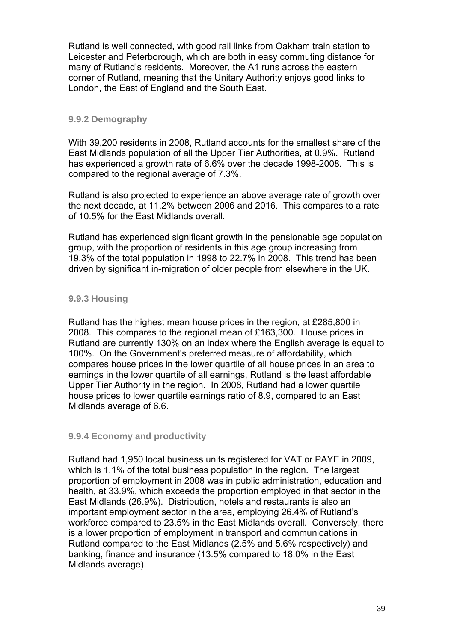Rutland is well connected, with good rail links from Oakham train station to Leicester and Peterborough, which are both in easy commuting distance for many of Rutland's residents. Moreover, the A1 runs across the eastern corner of Rutland, meaning that the Unitary Authority enjoys good links to London, the East of England and the South East.

# **9.9.2 Demography**

With 39,200 residents in 2008, Rutland accounts for the smallest share of the East Midlands population of all the Upper Tier Authorities, at 0.9%. Rutland has experienced a growth rate of 6.6% over the decade 1998-2008. This is compared to the regional average of 7.3%.

Rutland is also projected to experience an above average rate of growth over the next decade, at 11.2% between 2006 and 2016. This compares to a rate of 10.5% for the East Midlands overall.

Rutland has experienced significant growth in the pensionable age population group, with the proportion of residents in this age group increasing from 19.3% of the total population in 1998 to 22.7% in 2008. This trend has been driven by significant in-migration of older people from elsewhere in the UK.

# **9.9.3 Housing**

Rutland has the highest mean house prices in the region, at £285,800 in 2008. This compares to the regional mean of £163,300. House prices in Rutland are currently 130% on an index where the English average is equal to 100%. On the Government's preferred measure of affordability, which compares house prices in the lower quartile of all house prices in an area to earnings in the lower quartile of all earnings, Rutland is the least affordable Upper Tier Authority in the region. In 2008, Rutland had a lower quartile house prices to lower quartile earnings ratio of 8.9, compared to an East Midlands average of 6.6.

# **9.9.4 Economy and productivity**

Rutland had 1,950 local business units registered for VAT or PAYE in 2009, which is 1.1% of the total business population in the region. The largest proportion of employment in 2008 was in public administration, education and health, at 33.9%, which exceeds the proportion employed in that sector in the East Midlands (26.9%). Distribution, hotels and restaurants is also an important employment sector in the area, employing 26.4% of Rutland's workforce compared to 23.5% in the East Midlands overall. Conversely, there is a lower proportion of employment in transport and communications in Rutland compared to the East Midlands (2.5% and 5.6% respectively) and banking, finance and insurance (13.5% compared to 18.0% in the East Midlands average).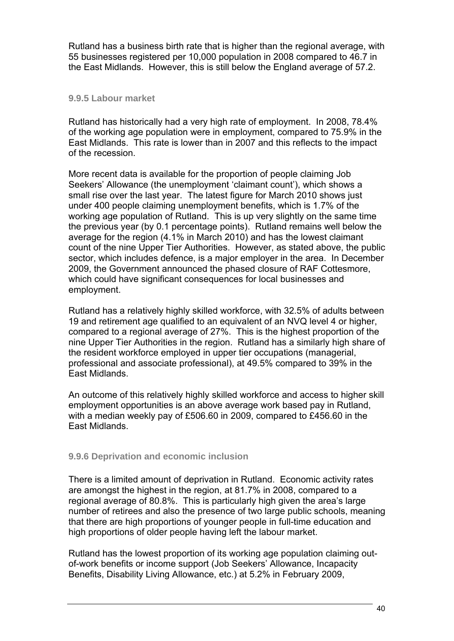Rutland has a business birth rate that is higher than the regional average, with 55 businesses registered per 10,000 population in 2008 compared to 46.7 in the East Midlands. However, this is still below the England average of 57.2.

#### **9.9.5 Labour market**

Rutland has historically had a very high rate of employment. In 2008, 78.4% of the working age population were in employment, compared to 75.9% in the East Midlands. This rate is lower than in 2007 and this reflects to the impact of the recession.

More recent data is available for the proportion of people claiming Job Seekers' Allowance (the unemployment 'claimant count'), which shows a small rise over the last year. The latest figure for March 2010 shows just under 400 people claiming unemployment benefits, which is 1.7% of the working age population of Rutland. This is up very slightly on the same time the previous year (by 0.1 percentage points). Rutland remains well below the average for the region (4.1% in March 2010) and has the lowest claimant count of the nine Upper Tier Authorities. However, as stated above, the public sector, which includes defence, is a major employer in the area. In December 2009, the Government announced the phased closure of RAF Cottesmore, which could have significant consequences for local businesses and employment.

Rutland has a relatively highly skilled workforce, with 32.5% of adults between 19 and retirement age qualified to an equivalent of an NVQ level 4 or higher, compared to a regional average of 27%. This is the highest proportion of the nine Upper Tier Authorities in the region. Rutland has a similarly high share of the resident workforce employed in upper tier occupations (managerial, professional and associate professional), at 49.5% compared to 39% in the East Midlands.

An outcome of this relatively highly skilled workforce and access to higher skill employment opportunities is an above average work based pay in Rutland, with a median weekly pay of £506.60 in 2009, compared to £456.60 in the East Midlands.

# **9.9.6 Deprivation and economic inclusion**

There is a limited amount of deprivation in Rutland. Economic activity rates are amongst the highest in the region, at 81.7% in 2008, compared to a regional average of 80.8%. This is particularly high given the area's large number of retirees and also the presence of two large public schools, meaning that there are high proportions of younger people in full-time education and high proportions of older people having left the labour market.

Rutland has the lowest proportion of its working age population claiming outof-work benefits or income support (Job Seekers' Allowance, Incapacity Benefits, Disability Living Allowance, etc.) at 5.2% in February 2009,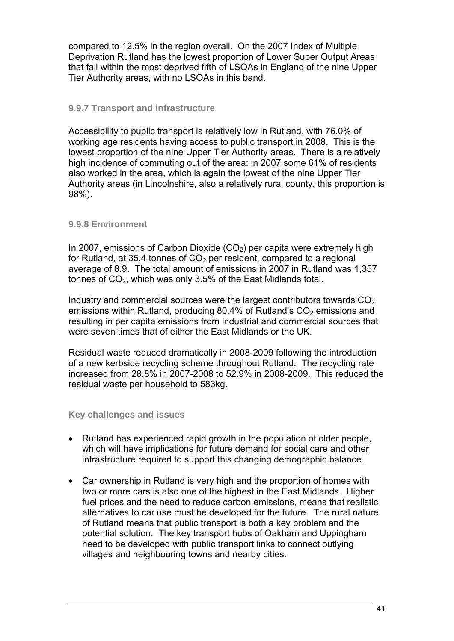compared to 12.5% in the region overall. On the 2007 Index of Multiple Deprivation Rutland has the lowest proportion of Lower Super Output Areas that fall within the most deprived fifth of LSOAs in England of the nine Upper Tier Authority areas, with no LSOAs in this band.

# **9.9.7 Transport and infrastructure**

Accessibility to public transport is relatively low in Rutland, with 76.0% of working age residents having access to public transport in 2008. This is the lowest proportion of the nine Upper Tier Authority areas. There is a relatively high incidence of commuting out of the area: in 2007 some 61% of residents also worked in the area, which is again the lowest of the nine Upper Tier Authority areas (in Lincolnshire, also a relatively rural county, this proportion is 98%).

# **9.9.8 Environment**

In 2007, emissions of Carbon Dioxide  $(CO<sub>2</sub>)$  per capita were extremely high for Rutland, at 35.4 tonnes of  $CO<sub>2</sub>$  per resident, compared to a regional average of 8.9. The total amount of emissions in 2007 in Rutland was 1,357 tonnes of  $CO<sub>2</sub>$ , which was only 3.5% of the East Midlands total.

Industry and commercial sources were the largest contributors towards  $CO<sub>2</sub>$ emissions within Rutland, producing 80.4% of Rutland's  $CO<sub>2</sub>$  emissions and resulting in per capita emissions from industrial and commercial sources that were seven times that of either the East Midlands or the UK.

Residual waste reduced dramatically in 2008-2009 following the introduction of a new kerbside recycling scheme throughout Rutland. The recycling rate increased from 28.8% in 2007-2008 to 52.9% in 2008-2009. This reduced the residual waste per household to 583kg.

# **Key challenges and issues**

- Rutland has experienced rapid growth in the population of older people, which will have implications for future demand for social care and other infrastructure required to support this changing demographic balance.
- Car ownership in Rutland is very high and the proportion of homes with two or more cars is also one of the highest in the East Midlands. Higher fuel prices and the need to reduce carbon emissions, means that realistic alternatives to car use must be developed for the future. The rural nature of Rutland means that public transport is both a key problem and the potential solution. The key transport hubs of Oakham and Uppingham need to be developed with public transport links to connect outlying villages and neighbouring towns and nearby cities.